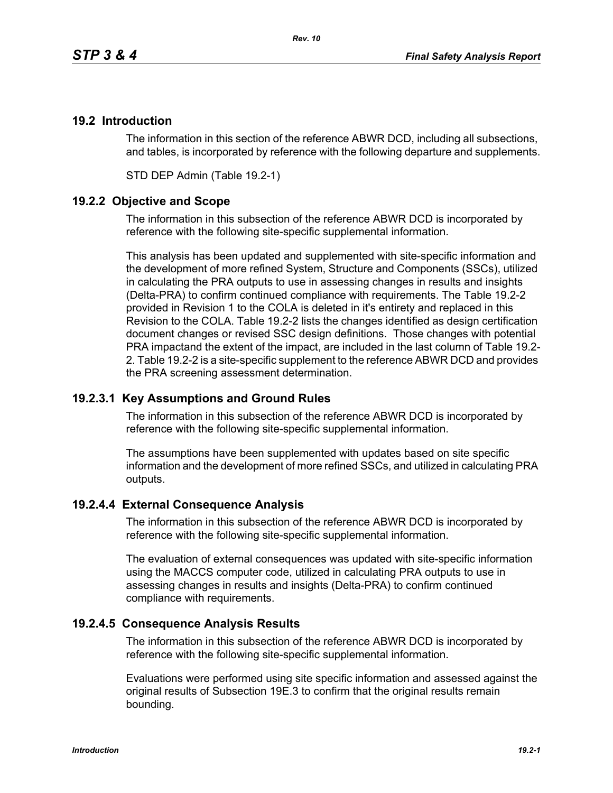# **19.2 Introduction**

The information in this section of the reference ABWR DCD, including all subsections, and tables, is incorporated by reference with the following departure and supplements.

STD DEP Admin (Table 19.2-1)

## **19.2.2 Objective and Scope**

The information in this subsection of the reference ABWR DCD is incorporated by reference with the following site-specific supplemental information.

This analysis has been updated and supplemented with site-specific information and the development of more refined System, Structure and Components (SSCs), utilized in calculating the PRA outputs to use in assessing changes in results and insights (Delta-PRA) to confirm continued compliance with requirements. The Table 19.2-2 provided in Revision 1 to the COLA is deleted in it's entirety and replaced in this Revision to the COLA. Table 19.2-2 lists the changes identified as design certification document changes or revised SSC design definitions. Those changes with potential PRA impactand the extent of the impact, are included in the last column of Table 19.2- 2. Table 19.2-2 is a site-specific supplement to the reference ABWR DCD and provides the PRA screening assessment determination.

### **19.2.3.1 Key Assumptions and Ground Rules**

The information in this subsection of the reference ABWR DCD is incorporated by reference with the following site-specific supplemental information.

The assumptions have been supplemented with updates based on site specific information and the development of more refined SSCs, and utilized in calculating PRA outputs.

### **19.2.4.4 External Consequence Analysis**

The information in this subsection of the reference ABWR DCD is incorporated by reference with the following site-specific supplemental information.

The evaluation of external consequences was updated with site-specific information using the MACCS computer code, utilized in calculating PRA outputs to use in assessing changes in results and insights (Delta-PRA) to confirm continued compliance with requirements.

### **19.2.4.5 Consequence Analysis Results**

The information in this subsection of the reference ABWR DCD is incorporated by reference with the following site-specific supplemental information.

Evaluations were performed using site specific information and assessed against the original results of Subsection 19E.3 to confirm that the original results remain bounding.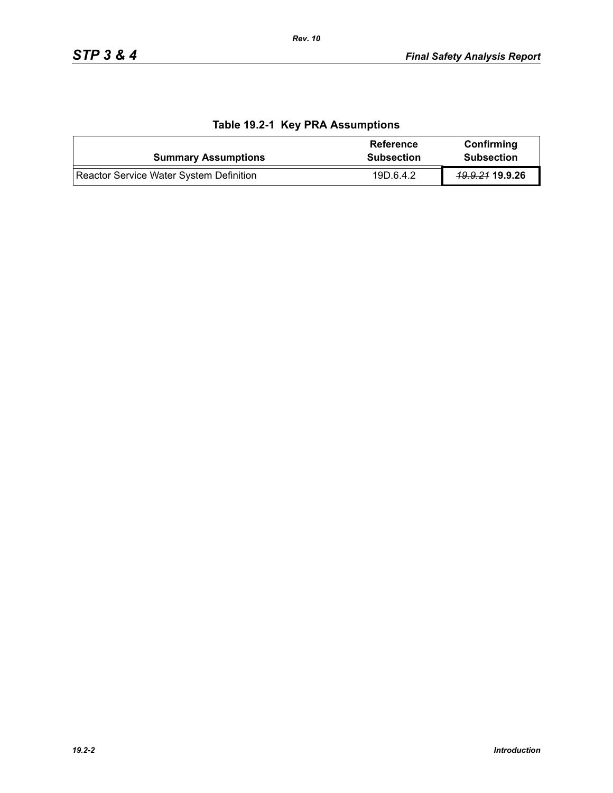| <b>Summary Assumptions</b>              | Reference<br><b>Subsection</b> | Confirming<br><b>Subsection</b> |
|-----------------------------------------|--------------------------------|---------------------------------|
| Reactor Service Water System Definition | 19D.6.4.2                      | <del>19.9.21</del> 19.9.26      |

# **Table 19.2-1 Key PRA Assumptions**

*Rev. 10*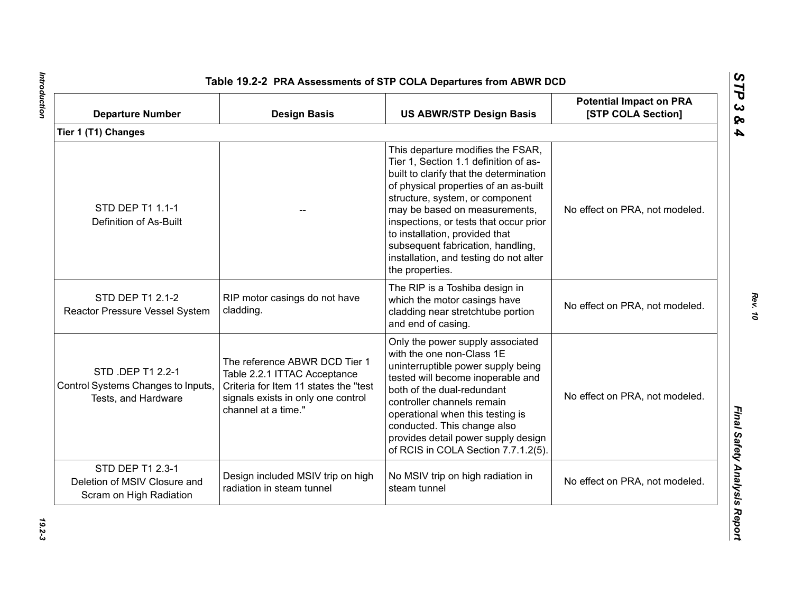| <b>Departure Number</b>                                                        | <b>Design Basis</b>                                                                                                                                                 | <b>US ABWR/STP Design Basis</b>                                                                                                                                                                                                                                                                                                                                                                                  | <b>Potential Impact on PRA</b><br>[STP COLA Section] |
|--------------------------------------------------------------------------------|---------------------------------------------------------------------------------------------------------------------------------------------------------------------|------------------------------------------------------------------------------------------------------------------------------------------------------------------------------------------------------------------------------------------------------------------------------------------------------------------------------------------------------------------------------------------------------------------|------------------------------------------------------|
| Tier 1 (T1) Changes                                                            |                                                                                                                                                                     |                                                                                                                                                                                                                                                                                                                                                                                                                  |                                                      |
| STD DEP T1 1.1-1<br>Definition of As-Built                                     |                                                                                                                                                                     | This departure modifies the FSAR,<br>Tier 1, Section 1.1 definition of as-<br>built to clarify that the determination<br>of physical properties of an as-built<br>structure, system, or component<br>may be based on measurements,<br>inspections, or tests that occur prior<br>to installation, provided that<br>subsequent fabrication, handling,<br>installation, and testing do not alter<br>the properties. | No effect on PRA, not modeled.                       |
| STD DEP T1 2.1-2<br>Reactor Pressure Vessel System                             | RIP motor casings do not have<br>cladding.                                                                                                                          | The RIP is a Toshiba design in<br>which the motor casings have<br>cladding near stretchtube portion<br>and end of casing.                                                                                                                                                                                                                                                                                        | No effect on PRA, not modeled.                       |
| STD .DEP T1 2.2-1<br>Control Systems Changes to Inputs,<br>Tests, and Hardware | The reference ABWR DCD Tier 1<br>Table 2.2.1 ITTAC Acceptance<br>Criteria for Item 11 states the "test<br>signals exists in only one control<br>channel at a time." | Only the power supply associated<br>with the one non-Class 1E<br>uninterruptible power supply being<br>tested will become inoperable and<br>both of the dual-redundant<br>controller channels remain<br>operational when this testing is<br>conducted. This change also<br>provides detail power supply design<br>of RCIS in COLA Section 7.7.1.2(5).                                                            | No effect on PRA, not modeled.                       |
| STD DEP T1 2.3-1<br>Deletion of MSIV Closure and<br>Scram on High Radiation    | Design included MSIV trip on high<br>radiation in steam tunnel                                                                                                      | No MSIV trip on high radiation in<br>steam tunnel                                                                                                                                                                                                                                                                                                                                                                | No effect on PRA, not modeled.                       |

Introduction *Introduction 19.2-3*

*Rev. 10*

*STP 3 & 4*

 $19.2 - 3$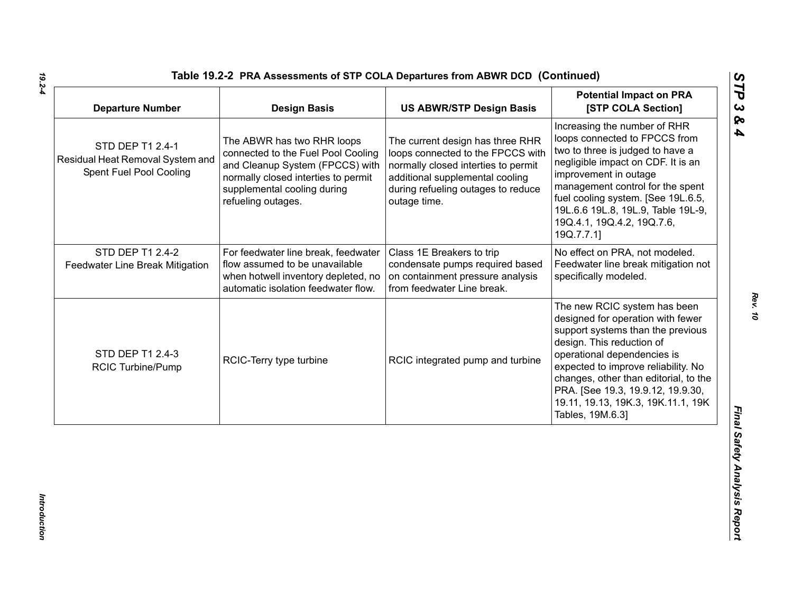| <b>Departure Number</b>                                                         | <b>Design Basis</b>                                                                                                                                                                             | <b>US ABWR/STP Design Basis</b>                                                                                                                                                                       | <b>Potential Impact on PRA</b><br>[STP COLA Section]                                                                                                                                                                                                                                                                                              |
|---------------------------------------------------------------------------------|-------------------------------------------------------------------------------------------------------------------------------------------------------------------------------------------------|-------------------------------------------------------------------------------------------------------------------------------------------------------------------------------------------------------|---------------------------------------------------------------------------------------------------------------------------------------------------------------------------------------------------------------------------------------------------------------------------------------------------------------------------------------------------|
| STD DEP T1 2.4-1<br>Residual Heat Removal System and<br>Spent Fuel Pool Cooling | The ABWR has two RHR loops<br>connected to the Fuel Pool Cooling<br>and Cleanup System (FPCCS) with<br>normally closed interties to permit<br>supplemental cooling during<br>refueling outages. | The current design has three RHR<br>loops connected to the FPCCS with<br>normally closed interties to permit<br>additional supplemental cooling<br>during refueling outages to reduce<br>outage time. | Increasing the number of RHR<br>loops connected to FPCCS from<br>two to three is judged to have a<br>negligible impact on CDF. It is an<br>improvement in outage<br>management control for the spent<br>fuel cooling system. [See 19L.6.5,<br>19L.6.6 19L.8, 19L.9, Table 19L-9,<br>19Q.4.1, 19Q.4.2, 19Q.7.6,<br>19Q.7.7.1]                      |
| STD DEP T1 2.4-2<br>Feedwater Line Break Mitigation                             | For feedwater line break, feedwater<br>flow assumed to be unavailable<br>when hotwell inventory depleted, no<br>automatic isolation feedwater flow.                                             | Class 1E Breakers to trip<br>condensate pumps required based<br>on containment pressure analysis<br>from feedwater Line break.                                                                        | No effect on PRA, not modeled.<br>Feedwater line break mitigation not<br>specifically modeled.                                                                                                                                                                                                                                                    |
| STD DEP T1 2.4-3<br><b>RCIC Turbine/Pump</b>                                    | RCIC-Terry type turbine                                                                                                                                                                         | RCIC integrated pump and turbine                                                                                                                                                                      | The new RCIC system has been<br>designed for operation with fewer<br>support systems than the previous<br>design. This reduction of<br>operational dependencies is<br>expected to improve reliability. No<br>changes, other than editorial, to the<br>PRA. [See 19.3, 19.9.12, 19.9.30,<br>19.11, 19.13, 19K.3, 19K.11.1, 19K<br>Tables, 19M.6.3] |

*19.2-4*

*Rev. 10*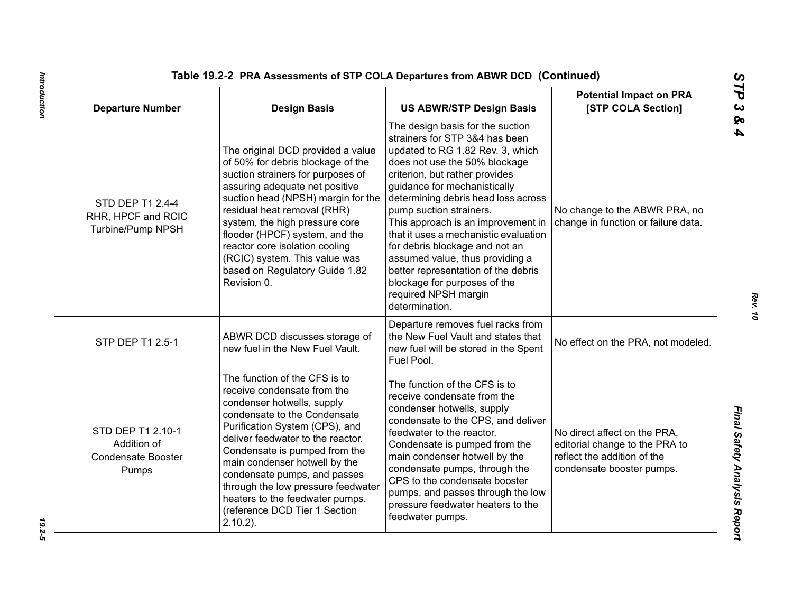| <b>Departure Number</b>                                                | <b>Design Basis</b>                                                                                                                                                                                                                                                                                                                                                                                                          | <b>US ABWR/STP Design Basis</b>                                                                                                                                                                                                                                                                                                                                                                                                                                                                                                                  | <b>Potential Impact on PRA</b><br>[STP COLA Section]                                                                       |
|------------------------------------------------------------------------|------------------------------------------------------------------------------------------------------------------------------------------------------------------------------------------------------------------------------------------------------------------------------------------------------------------------------------------------------------------------------------------------------------------------------|--------------------------------------------------------------------------------------------------------------------------------------------------------------------------------------------------------------------------------------------------------------------------------------------------------------------------------------------------------------------------------------------------------------------------------------------------------------------------------------------------------------------------------------------------|----------------------------------------------------------------------------------------------------------------------------|
| STD DEP T1 2.4-4<br>RHR, HPCF and RCIC<br>Turbine/Pump NPSH            | The original DCD provided a value<br>of 50% for debris blockage of the<br>suction strainers for purposes of<br>assuring adequate net positive<br>suction head (NPSH) margin for the<br>residual heat removal (RHR)<br>system, the high pressure core<br>flooder (HPCF) system, and the<br>reactor core isolation cooling<br>(RCIC) system. This value was<br>based on Regulatory Guide 1.82<br>Revision 0.                   | The design basis for the suction<br>strainers for STP 3&4 has been<br>updated to RG 1.82 Rev. 3, which<br>does not use the 50% blockage<br>criterion, but rather provides<br>guidance for mechanistically<br>determining debris head loss across<br>pump suction strainers.<br>This approach is an improvement in<br>that it uses a mechanistic evaluation<br>for debris blockage and not an<br>assumed value, thus providing a<br>better representation of the debris<br>blockage for purposes of the<br>required NPSH margin<br>determination. | No change to the ABWR PRA, no<br>change in function or failure data.                                                       |
| STP DEP T1 2.5-1                                                       | ABWR DCD discusses storage of<br>new fuel in the New Fuel Vault.                                                                                                                                                                                                                                                                                                                                                             | Departure removes fuel racks from<br>the New Fuel Vault and states that<br>new fuel will be stored in the Spent<br>Fuel Pool.                                                                                                                                                                                                                                                                                                                                                                                                                    | No effect on the PRA, not modeled.                                                                                         |
| STD DEP T1 2.10-1<br>Addition of<br><b>Condensate Booster</b><br>Pumps | The function of the CFS is to<br>receive condensate from the<br>condenser hotwells, supply<br>condensate to the Condensate<br>Purification System (CPS), and<br>deliver feedwater to the reactor.<br>Condensate is pumped from the<br>main condenser hotwell by the<br>condensate pumps, and passes<br>through the low pressure feedwater<br>heaters to the feedwater pumps.<br>(reference DCD Tier 1 Section<br>$2.10.2$ ). | The function of the CFS is to<br>receive condensate from the<br>condenser hotwells, supply<br>condensate to the CPS, and deliver<br>feedwater to the reactor.<br>Condensate is pumped from the<br>main condenser hotwell by the<br>condensate pumps, through the<br>CPS to the condensate booster<br>pumps, and passes through the low<br>pressure feedwater heaters to the<br>feedwater pumps.                                                                                                                                                  | No direct affect on the PRA,<br>editorial change to the PRA to<br>reflect the addition of the<br>condensate booster pumps. |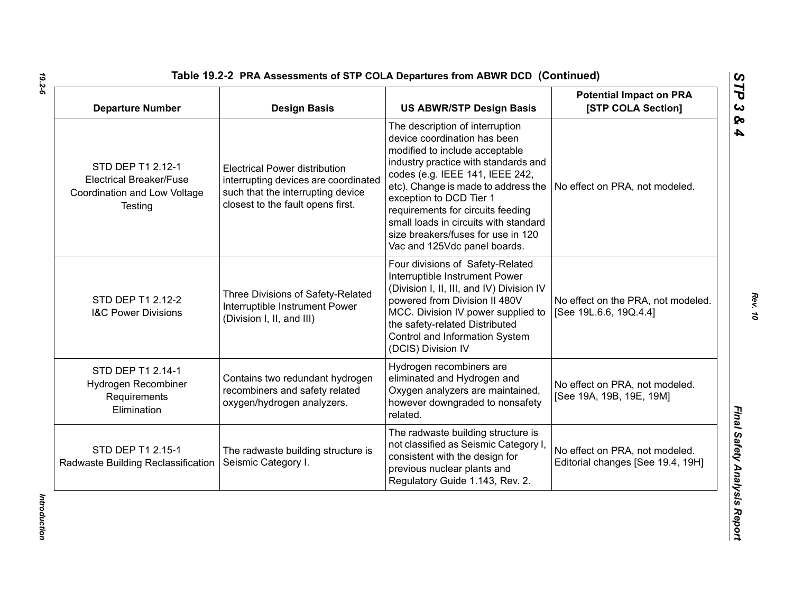| <b>Departure Number</b>                                                                        | <b>Design Basis</b>                                                                                                                                    | <b>US ABWR/STP Design Basis</b>                                                                                                                                                                                                                                                                                                                                                                    | <b>Potential Impact on PRA</b><br>[STP COLA Section]                |
|------------------------------------------------------------------------------------------------|--------------------------------------------------------------------------------------------------------------------------------------------------------|----------------------------------------------------------------------------------------------------------------------------------------------------------------------------------------------------------------------------------------------------------------------------------------------------------------------------------------------------------------------------------------------------|---------------------------------------------------------------------|
| STD DEP T1 2.12-1<br><b>Electrical Breaker/Fuse</b><br>Coordination and Low Voltage<br>Testing | <b>Electrical Power distribution</b><br>interrupting devices are coordinated<br>such that the interrupting device<br>closest to the fault opens first. | The description of interruption<br>device coordination has been<br>modified to include acceptable<br>industry practice with standards and<br>codes (e.g. IEEE 141, IEEE 242,<br>etc). Change is made to address the<br>exception to DCD Tier 1<br>requirements for circuits feeding<br>small loads in circuits with standard<br>size breakers/fuses for use in 120<br>Vac and 125Vdc panel boards. | No effect on PRA, not modeled.                                      |
| STD DEP T1 2.12-2<br><b>I&amp;C Power Divisions</b>                                            | Three Divisions of Safety-Related<br>Interruptible Instrument Power<br>(Division I, II, and III)                                                       | Four divisions of Safety-Related<br>Interruptible Instrument Power<br>(Division I, II, III, and IV) Division IV<br>powered from Division II 480V<br>MCC. Division IV power supplied to<br>the safety-related Distributed<br>Control and Information System<br>(DCIS) Division IV                                                                                                                   | No effect on the PRA, not modeled.<br>[See 19L.6.6, 19Q.4.4]        |
| STD DEP T1 2.14-1<br>Hydrogen Recombiner<br>Requirements<br>Elimination                        | Contains two redundant hydrogen<br>recombiners and safety related<br>oxygen/hydrogen analyzers.                                                        | Hydrogen recombiners are<br>eliminated and Hydrogen and<br>Oxygen analyzers are maintained,<br>however downgraded to nonsafety<br>related.                                                                                                                                                                                                                                                         | No effect on PRA, not modeled.<br>[See 19A, 19B, 19E, 19M]          |
| STD DEP T1 2.15-1<br>Radwaste Building Reclassification                                        | The radwaste building structure is<br>Seismic Category I.                                                                                              | The radwaste building structure is<br>not classified as Seismic Category I<br>consistent with the design for<br>previous nuclear plants and<br>Regulatory Guide 1.143, Rev. 2.                                                                                                                                                                                                                     | No effect on PRA, not modeled.<br>Editorial changes [See 19.4, 19H] |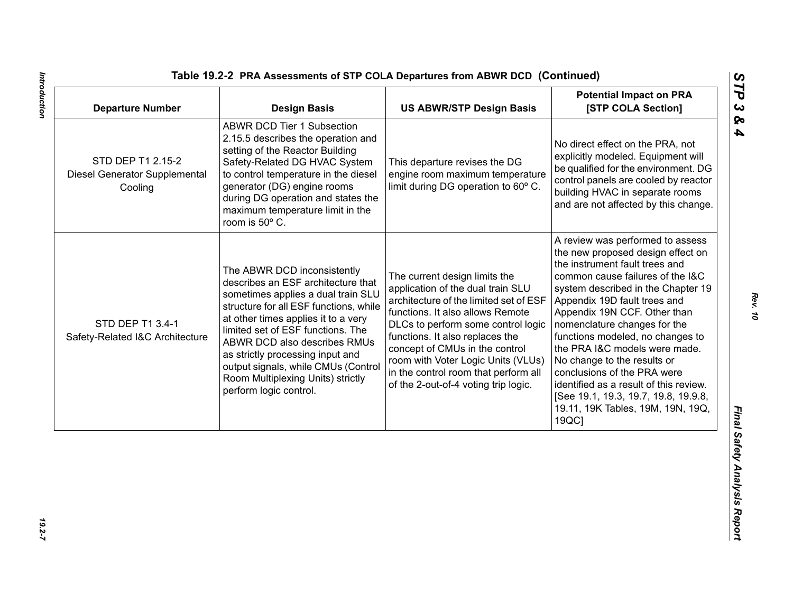| <b>ABWR DCD Tier 1 Subsection</b><br>2.15.5 describes the operation and<br>No direct effect on the PRA, not<br>setting of the Reactor Building<br>STD DEP T1 2.15-2<br>Safety-Related DG HVAC System<br>This departure revises the DG<br>to control temperature in the diesel<br>engine room maximum temperature<br>Diesel Generator Supplemental<br>limit during DG operation to 60° C.<br>generator (DG) engine rooms<br>Cooling<br>during DG operation and states the<br>maximum temperature limit in the<br>room is 50° C.<br>the instrument fault trees and<br>The ABWR DCD inconsistently<br>The current design limits the<br>describes an ESF architecture that<br>application of the dual train SLU<br>sometimes applies a dual train SLU<br>architecture of the limited set of ESF<br>Appendix 19D fault trees and<br>structure for all ESF functions, while<br>functions. It also allows Remote<br>Appendix 19N CCF. Other than<br>at other times applies it to a very<br>STD DEP T1 3.4-1<br>DLCs to perform some control logic<br>nomenclature changes for the<br>limited set of ESF functions. The<br>functions. It also replaces the<br>Safety-Related I&C Architecture<br>ABWR DCD also describes RMUs<br>concept of CMUs in the control<br>as strictly processing input and<br>room with Voter Logic Units (VLUs)<br>No change to the results or<br>output signals, while CMUs (Control<br>in the control room that perform all<br>conclusions of the PRA were<br>Room Multiplexing Units) strictly<br>of the 2-out-of-4 voting trip logic.<br>perform logic control. | <b>Departure Number</b> | <b>Design Basis</b> | <b>US ABWR/STP Design Basis</b> | <b>Potential Impact on PRA</b><br>[STP COLA Section]                                                                                                                                                                                                                                                                                        |
|---------------------------------------------------------------------------------------------------------------------------------------------------------------------------------------------------------------------------------------------------------------------------------------------------------------------------------------------------------------------------------------------------------------------------------------------------------------------------------------------------------------------------------------------------------------------------------------------------------------------------------------------------------------------------------------------------------------------------------------------------------------------------------------------------------------------------------------------------------------------------------------------------------------------------------------------------------------------------------------------------------------------------------------------------------------------------------------------------------------------------------------------------------------------------------------------------------------------------------------------------------------------------------------------------------------------------------------------------------------------------------------------------------------------------------------------------------------------------------------------------------------------------------------------------------------------------------------|-------------------------|---------------------|---------------------------------|---------------------------------------------------------------------------------------------------------------------------------------------------------------------------------------------------------------------------------------------------------------------------------------------------------------------------------------------|
|                                                                                                                                                                                                                                                                                                                                                                                                                                                                                                                                                                                                                                                                                                                                                                                                                                                                                                                                                                                                                                                                                                                                                                                                                                                                                                                                                                                                                                                                                                                                                                                       |                         |                     |                                 | explicitly modeled. Equipment will<br>be qualified for the environment. DG<br>control panels are cooled by reactor<br>building HVAC in separate rooms<br>and are not affected by this change.                                                                                                                                               |
| 19QC]                                                                                                                                                                                                                                                                                                                                                                                                                                                                                                                                                                                                                                                                                                                                                                                                                                                                                                                                                                                                                                                                                                                                                                                                                                                                                                                                                                                                                                                                                                                                                                                 |                         |                     |                                 | A review was performed to assess<br>the new proposed design effect on<br>common cause failures of the I&C<br>system described in the Chapter 19<br>functions modeled, no changes to<br>the PRA I&C models were made.<br>identified as a result of this review.<br>[See 19.1, 19.3, 19.7, 19.8, 19.9.8,<br>19.11, 19K Tables, 19M, 19N, 19Q, |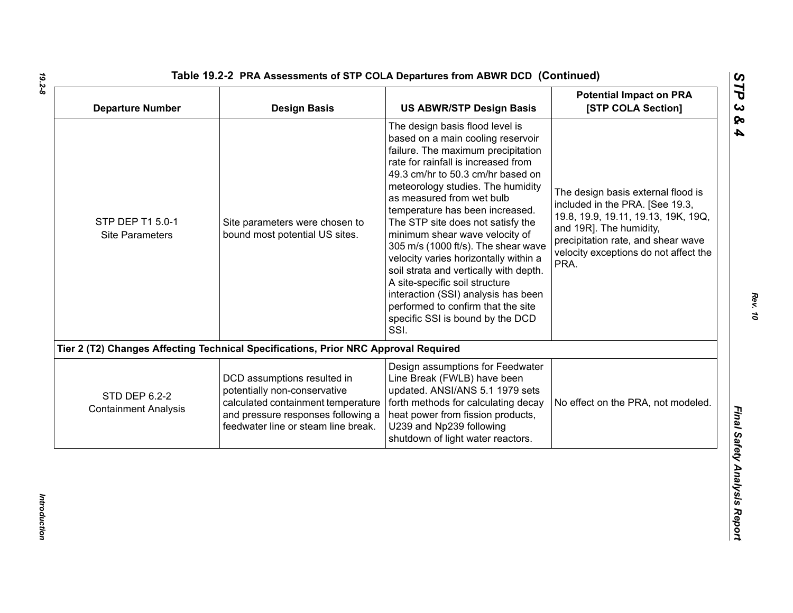| <b>Departure Number</b>                             | <b>Design Basis</b>                                                                                                                                                            | <b>US ABWR/STP Design Basis</b>                                                                                                                                                                                                                                                                                                                                                                                                                                                                                                                                                                                                                         | <b>Potential Impact on PRA</b><br>[STP COLA Section]                                                                                                                                                                           |
|-----------------------------------------------------|--------------------------------------------------------------------------------------------------------------------------------------------------------------------------------|---------------------------------------------------------------------------------------------------------------------------------------------------------------------------------------------------------------------------------------------------------------------------------------------------------------------------------------------------------------------------------------------------------------------------------------------------------------------------------------------------------------------------------------------------------------------------------------------------------------------------------------------------------|--------------------------------------------------------------------------------------------------------------------------------------------------------------------------------------------------------------------------------|
| STP DEP T1 5.0-1<br><b>Site Parameters</b>          | Site parameters were chosen to<br>bound most potential US sites.                                                                                                               | The design basis flood level is<br>based on a main cooling reservoir<br>failure. The maximum precipitation<br>rate for rainfall is increased from<br>49.3 cm/hr to 50.3 cm/hr based on<br>meteorology studies. The humidity<br>as measured from wet bulb<br>temperature has been increased.<br>The STP site does not satisfy the<br>minimum shear wave velocity of<br>305 m/s (1000 ft/s). The shear wave<br>velocity varies horizontally within a<br>soil strata and vertically with depth.<br>A site-specific soil structure<br>interaction (SSI) analysis has been<br>performed to confirm that the site<br>specific SSI is bound by the DCD<br>SSI. | The design basis external flood is<br>included in the PRA. [See 19.3,<br>19.8, 19.9, 19.11, 19.13, 19K, 19Q,<br>and 19R]. The humidity,<br>precipitation rate, and shear wave<br>velocity exceptions do not affect the<br>PRA. |
|                                                     | Tier 2 (T2) Changes Affecting Technical Specifications, Prior NRC Approval Required                                                                                            |                                                                                                                                                                                                                                                                                                                                                                                                                                                                                                                                                                                                                                                         |                                                                                                                                                                                                                                |
| <b>STD DEP 6.2-2</b><br><b>Containment Analysis</b> | DCD assumptions resulted in<br>potentially non-conservative<br>calculated containment temperature<br>and pressure responses following a<br>feedwater line or steam line break. | Design assumptions for Feedwater<br>Line Break (FWLB) have been<br>updated. ANSI/ANS 5.1 1979 sets<br>forth methods for calculating decay<br>heat power from fission products,<br>U239 and Np239 following<br>shutdown of light water reactors.                                                                                                                                                                                                                                                                                                                                                                                                         | No effect on the PRA, not modeled.                                                                                                                                                                                             |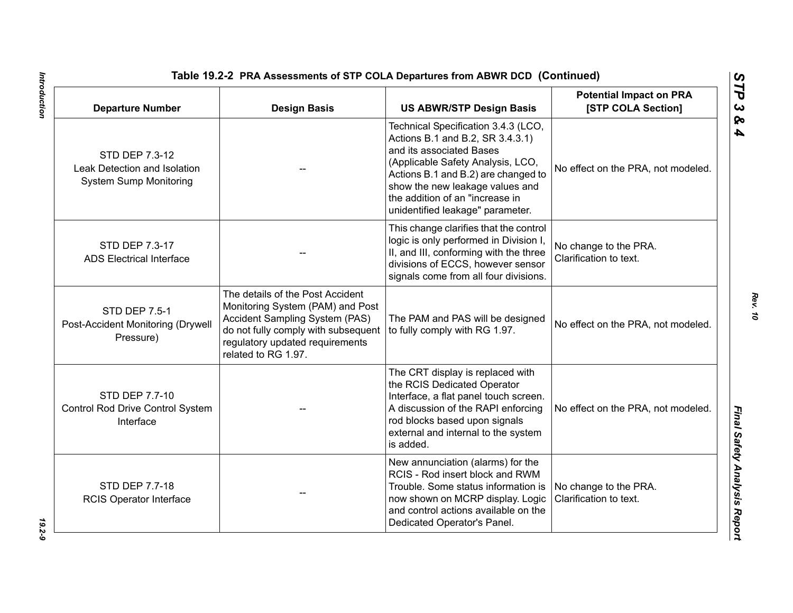| <b>Departure Number</b>                                                         | <b>Design Basis</b>                                                                                                                                                                                     | Table 19.2-2 PRA Assessments of STP COLA Departures from ABWR DCD (Continued)<br><b>US ABWR/STP Design Basis</b>                                                                                                                                                                          | <b>Potential Impact on PRA</b><br>[STP COLA Section] |
|---------------------------------------------------------------------------------|---------------------------------------------------------------------------------------------------------------------------------------------------------------------------------------------------------|-------------------------------------------------------------------------------------------------------------------------------------------------------------------------------------------------------------------------------------------------------------------------------------------|------------------------------------------------------|
| STD DEP 7.3-12<br>Leak Detection and Isolation<br><b>System Sump Monitoring</b> |                                                                                                                                                                                                         | Technical Specification 3.4.3 (LCO,<br>Actions B.1 and B.2, SR 3.4.3.1)<br>and its associated Bases<br>(Applicable Safety Analysis, LCO,<br>Actions B.1 and B.2) are changed to<br>show the new leakage values and<br>the addition of an "increase in<br>unidentified leakage" parameter. | No effect on the PRA, not modeled.                   |
| STD DEP 7.3-17<br><b>ADS Electrical Interface</b>                               |                                                                                                                                                                                                         | This change clarifies that the control<br>logic is only performed in Division I,<br>II, and III, conforming with the three<br>divisions of ECCS, however sensor<br>signals come from all four divisions.                                                                                  | No change to the PRA.<br>Clarification to text.      |
| <b>STD DEP 7.5-1</b><br>Post-Accident Monitoring (Drywell<br>Pressure)          | The details of the Post Accident<br>Monitoring System (PAM) and Post<br>Accident Sampling System (PAS)<br>do not fully comply with subsequent<br>regulatory updated requirements<br>related to RG 1.97. | The PAM and PAS will be designed<br>to fully comply with RG 1.97.                                                                                                                                                                                                                         | No effect on the PRA, not modeled.                   |
| STD DEP 7.7-10<br>Control Rod Drive Control System<br>Interface                 |                                                                                                                                                                                                         | The CRT display is replaced with<br>the RCIS Dedicated Operator<br>Interface, a flat panel touch screen.<br>A discussion of the RAPI enforcing<br>rod blocks based upon signals<br>external and internal to the system<br>is added.                                                       | No effect on the PRA, not modeled.                   |
| <b>STD DEP 7.7-18</b><br><b>RCIS Operator Interface</b>                         |                                                                                                                                                                                                         | New annunciation (alarms) for the<br>RCIS - Rod insert block and RWM<br>Trouble. Some status information is<br>now shown on MCRP display. Logic<br>and control actions available on the<br>Dedicated Operator's Panel.                                                                    | No change to the PRA.<br>Clarification to text.      |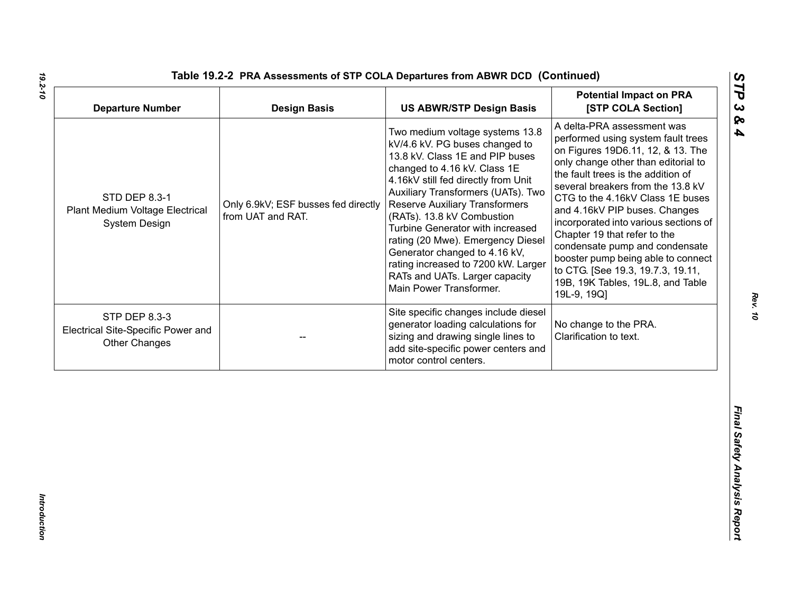| <b>Departure Number</b>                                                     | <b>Design Basis</b>                                      | <b>US ABWR/STP Design Basis</b>                                                                                                                                                                                                                                                                                                                                                                                                                                                                        | <b>Potential Impact on PRA</b><br>[STP COLA Section]                                                                                                                                                                                                                                                                                                                                                                                                                                                                                   |
|-----------------------------------------------------------------------------|----------------------------------------------------------|--------------------------------------------------------------------------------------------------------------------------------------------------------------------------------------------------------------------------------------------------------------------------------------------------------------------------------------------------------------------------------------------------------------------------------------------------------------------------------------------------------|----------------------------------------------------------------------------------------------------------------------------------------------------------------------------------------------------------------------------------------------------------------------------------------------------------------------------------------------------------------------------------------------------------------------------------------------------------------------------------------------------------------------------------------|
| STD DEP 8.3-1<br>Plant Medium Voltage Electrical<br>System Design           | Only 6.9kV; ESF busses fed directly<br>from UAT and RAT. | Two medium voltage systems 13.8<br>kV/4.6 kV. PG buses changed to<br>13.8 kV. Class 1E and PIP buses<br>changed to 4.16 kV. Class 1E<br>4.16kV still fed directly from Unit<br>Auxiliary Transformers (UATs). Two<br><b>Reserve Auxiliary Transformers</b><br>(RATs). 13.8 kV Combustion<br>Turbine Generator with increased<br>rating (20 Mwe). Emergency Diesel<br>Generator changed to 4.16 kV,<br>rating increased to 7200 kW. Larger<br>RATs and UATs. Larger capacity<br>Main Power Transformer. | A delta-PRA assessment was<br>performed using system fault trees<br>on Figures 19D6.11, 12, & 13. The<br>only change other than editorial to<br>the fault trees is the addition of<br>several breakers from the 13.8 kV<br>CTG to the 4.16kV Class 1E buses<br>and 4.16kV PIP buses. Changes<br>incorporated into various sections of<br>Chapter 19 that refer to the<br>condensate pump and condensate<br>booster pump being able to connect<br>to CTG. [See 19.3, 19.7.3, 19.11,<br>19B, 19K Tables, 19L.8, and Table<br>19L-9, 19Q] |
| STP DEP 8.3-3<br>Electrical Site-Specific Power and<br><b>Other Changes</b> |                                                          | Site specific changes include diesel<br>generator loading calculations for<br>sizing and drawing single lines to<br>add site-specific power centers and<br>motor control centers.                                                                                                                                                                                                                                                                                                                      | No change to the PRA.<br>Clarification to text.                                                                                                                                                                                                                                                                                                                                                                                                                                                                                        |
|                                                                             |                                                          |                                                                                                                                                                                                                                                                                                                                                                                                                                                                                                        |                                                                                                                                                                                                                                                                                                                                                                                                                                                                                                                                        |

*19.2-10*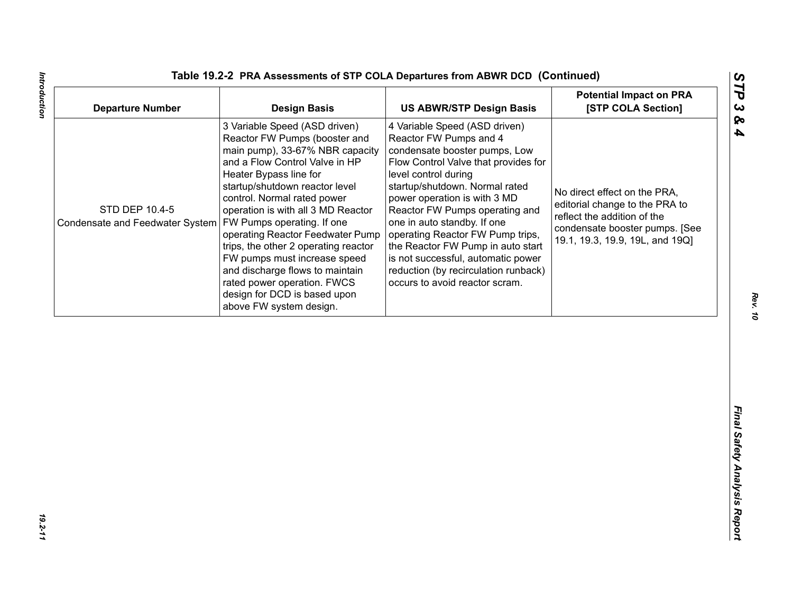| <b>Departure Number</b>                                                        | <b>Design Basis</b>                                                                                                                                                                                                                                                                                                                                                                                                                                                                                           | <b>US ABWR/STP Design Basis</b>                                                                                                                                                                                                                                                                                                                                                                                                                                                      | <b>Potential Impact on PRA</b><br>[STP COLA Section]                                                                                                               |
|--------------------------------------------------------------------------------|---------------------------------------------------------------------------------------------------------------------------------------------------------------------------------------------------------------------------------------------------------------------------------------------------------------------------------------------------------------------------------------------------------------------------------------------------------------------------------------------------------------|--------------------------------------------------------------------------------------------------------------------------------------------------------------------------------------------------------------------------------------------------------------------------------------------------------------------------------------------------------------------------------------------------------------------------------------------------------------------------------------|--------------------------------------------------------------------------------------------------------------------------------------------------------------------|
| STD DEP 10.4-5<br>Condensate and Feedwater System   FW Pumps operating. If one | 3 Variable Speed (ASD driven)<br>Reactor FW Pumps (booster and<br>main pump), 33-67% NBR capacity<br>and a Flow Control Valve in HP<br>Heater Bypass line for<br>startup/shutdown reactor level<br>control. Normal rated power<br>operation is with all 3 MD Reactor<br>operating Reactor Feedwater Pump<br>trips, the other 2 operating reactor<br>FW pumps must increase speed<br>and discharge flows to maintain<br>rated power operation. FWCS<br>design for DCD is based upon<br>above FW system design. | 4 Variable Speed (ASD driven)<br>Reactor FW Pumps and 4<br>condensate booster pumps, Low<br>Flow Control Valve that provides for<br>level control during<br>startup/shutdown. Normal rated<br>power operation is with 3 MD<br>Reactor FW Pumps operating and<br>one in auto standby. If one<br>operating Reactor FW Pump trips,<br>the Reactor FW Pump in auto start<br>is not successful, automatic power<br>reduction (by recirculation runback)<br>occurs to avoid reactor scram. | No direct effect on the PRA,<br>editorial change to the PRA to<br>reflect the addition of the<br>condensate booster pumps. [See<br>19.1, 19.3, 19.9, 19L, and 19Q] |
|                                                                                |                                                                                                                                                                                                                                                                                                                                                                                                                                                                                                               |                                                                                                                                                                                                                                                                                                                                                                                                                                                                                      |                                                                                                                                                                    |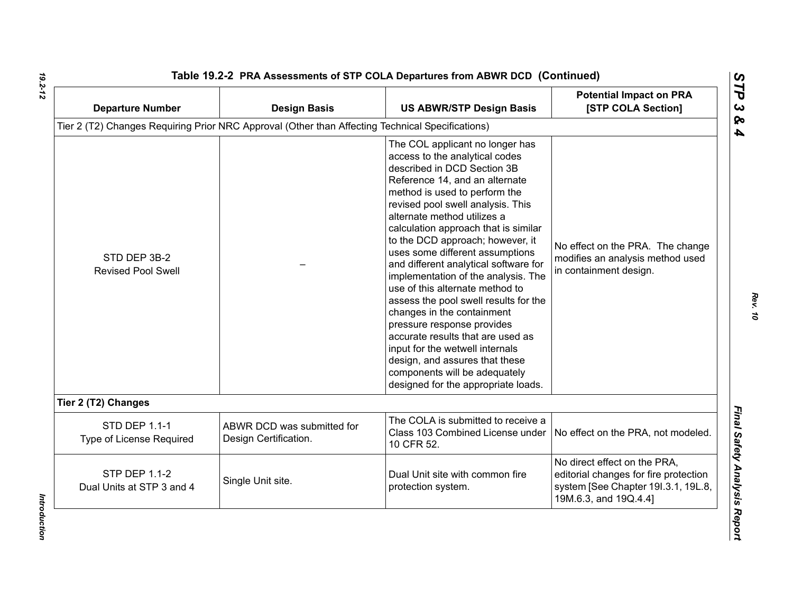| <b>Departure Number</b>                           | <b>Design Basis</b>                                                                              | <b>US ABWR/STP Design Basis</b>                                                                                                                                                                                                                                                                                                                                                                                                                                                                                                                                                                                                                                                                                                                                  | <b>Potential Impact on PRA</b><br>[STP COLA Section]                                                                                  |
|---------------------------------------------------|--------------------------------------------------------------------------------------------------|------------------------------------------------------------------------------------------------------------------------------------------------------------------------------------------------------------------------------------------------------------------------------------------------------------------------------------------------------------------------------------------------------------------------------------------------------------------------------------------------------------------------------------------------------------------------------------------------------------------------------------------------------------------------------------------------------------------------------------------------------------------|---------------------------------------------------------------------------------------------------------------------------------------|
|                                                   | Tier 2 (T2) Changes Requiring Prior NRC Approval (Other than Affecting Technical Specifications) |                                                                                                                                                                                                                                                                                                                                                                                                                                                                                                                                                                                                                                                                                                                                                                  |                                                                                                                                       |
| STD DEP 3B-2<br><b>Revised Pool Swell</b>         |                                                                                                  | The COL applicant no longer has<br>access to the analytical codes<br>described in DCD Section 3B<br>Reference 14, and an alternate<br>method is used to perform the<br>revised pool swell analysis. This<br>alternate method utilizes a<br>calculation approach that is similar<br>to the DCD approach; however, it<br>uses some different assumptions<br>and different analytical software for<br>implementation of the analysis. The<br>use of this alternate method to<br>assess the pool swell results for the<br>changes in the containment<br>pressure response provides<br>accurate results that are used as<br>input for the wetwell internals<br>design, and assures that these<br>components will be adequately<br>designed for the appropriate loads. | No effect on the PRA. The change<br>modifies an analysis method used<br>in containment design.                                        |
| Tier 2 (T2) Changes                               |                                                                                                  |                                                                                                                                                                                                                                                                                                                                                                                                                                                                                                                                                                                                                                                                                                                                                                  |                                                                                                                                       |
| <b>STD DEP 1.1-1</b><br>Type of License Required  | ABWR DCD was submitted for<br>Design Certification.                                              | The COLA is submitted to receive a<br>Class 103 Combined License under<br>10 CFR 52.                                                                                                                                                                                                                                                                                                                                                                                                                                                                                                                                                                                                                                                                             | No effect on the PRA, not modeled.                                                                                                    |
| <b>STP DEP 1.1-2</b><br>Dual Units at STP 3 and 4 | Single Unit site.                                                                                | Dual Unit site with common fire<br>protection system.                                                                                                                                                                                                                                                                                                                                                                                                                                                                                                                                                                                                                                                                                                            | No direct effect on the PRA,<br>editorial changes for fire protection<br>system [See Chapter 191.3.1, 19L.8,<br>19M.6.3, and 19Q.4.4] |

Introduction *Introduction*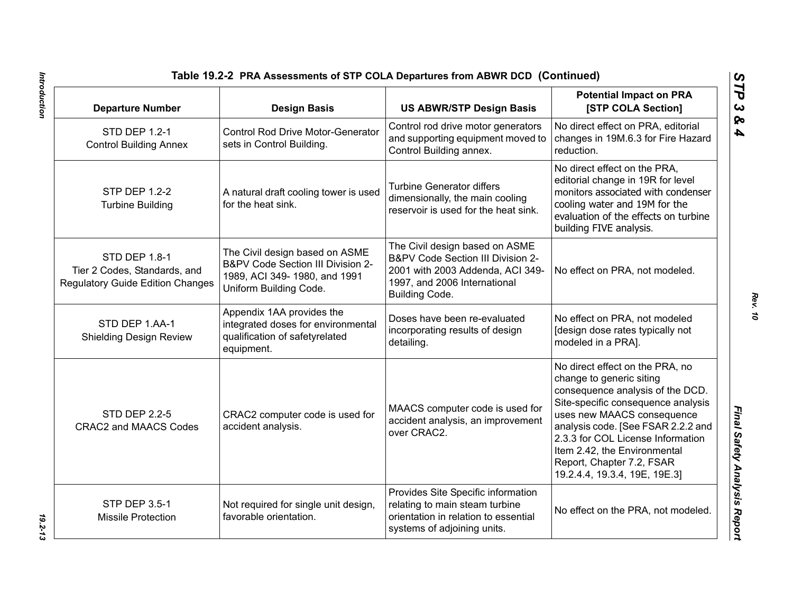| Table 19.2-2 PRA Assessments of STP COLA Departures from ABWR DCD (Continued)                                 |                                                                                                                               |                                                                                                                                                                                                                                                                                                                                              |                                                                                                                                                                                                             |
|---------------------------------------------------------------------------------------------------------------|-------------------------------------------------------------------------------------------------------------------------------|----------------------------------------------------------------------------------------------------------------------------------------------------------------------------------------------------------------------------------------------------------------------------------------------------------------------------------------------|-------------------------------------------------------------------------------------------------------------------------------------------------------------------------------------------------------------|
| <b>Departure Number</b>                                                                                       | <b>Design Basis</b>                                                                                                           | <b>US ABWR/STP Design Basis</b>                                                                                                                                                                                                                                                                                                              | <b>Potential Impact on PRA</b><br>[STP COLA Section]                                                                                                                                                        |
| STD DEP 1.2-1<br><b>Control Building Annex</b>                                                                | <b>Control Rod Drive Motor-Generator</b><br>sets in Control Building.                                                         | Control rod drive motor generators<br>and supporting equipment moved to<br>Control Building annex.                                                                                                                                                                                                                                           | No direct effect on PRA, editorial<br>changes in 19M.6.3 for Fire Hazard<br>reduction.                                                                                                                      |
| <b>STP DEP 1.2-2</b><br><b>Turbine Building</b>                                                               | A natural draft cooling tower is used<br>for the heat sink.                                                                   | <b>Turbine Generator differs</b><br>dimensionally, the main cooling<br>reservoir is used for the heat sink.                                                                                                                                                                                                                                  | No direct effect on the PRA,<br>editorial change in 19R for level<br>monitors associated with condenser<br>cooling water and 19M for the<br>evaluation of the effects on turbine<br>building FIVE analysis. |
| STD DEP 1.8-1<br>Tier 2 Codes, Standards, and<br><b>Regulatory Guide Edition Changes</b>                      | The Civil design based on ASME<br>B&PV Code Section III Division 2-<br>1989, ACI 349-1980, and 1991<br>Uniform Building Code. | The Civil design based on ASME<br>B&PV Code Section III Division 2-<br>2001 with 2003 Addenda, ACI 349-<br>1997, and 2006 International<br>Building Code.                                                                                                                                                                                    | No effect on PRA, not modeled.                                                                                                                                                                              |
| STD DEP 1.AA-1<br><b>Shielding Design Review</b>                                                              | Appendix 1AA provides the<br>integrated doses for environmental<br>qualification of safetyrelated<br>equipment.               | Doses have been re-evaluated<br>incorporating results of design<br>detailing.                                                                                                                                                                                                                                                                | No effect on PRA, not modeled<br>[design dose rates typically not<br>modeled in a PRA].                                                                                                                     |
| <b>STD DEP 2.2-5</b><br>CRAC2 computer code is used for<br>accident analysis.<br><b>CRAC2 and MAACS Codes</b> | MAACS computer code is used for<br>accident analysis, an improvement<br>over CRAC2.                                           | No direct effect on the PRA, no<br>change to generic siting<br>consequence analysis of the DCD.<br>Site-specific consequence analysis<br>uses new MAACS consequence<br>analysis code. [See FSAR 2.2.2 and<br>2.3.3 for COL License Information<br>Item 2.42, the Environmental<br>Report, Chapter 7.2, FSAR<br>19.2.4.4, 19.3.4, 19E, 19E.3] |                                                                                                                                                                                                             |
| <b>STP DEP 3.5-1</b><br><b>Missile Protection</b>                                                             | Not required for single unit design,<br>favorable orientation.                                                                | Provides Site Specific information<br>relating to main steam turbine<br>orientation in relation to essential<br>systems of adjoining units.                                                                                                                                                                                                  | No effect on the PRA, not modeled.                                                                                                                                                                          |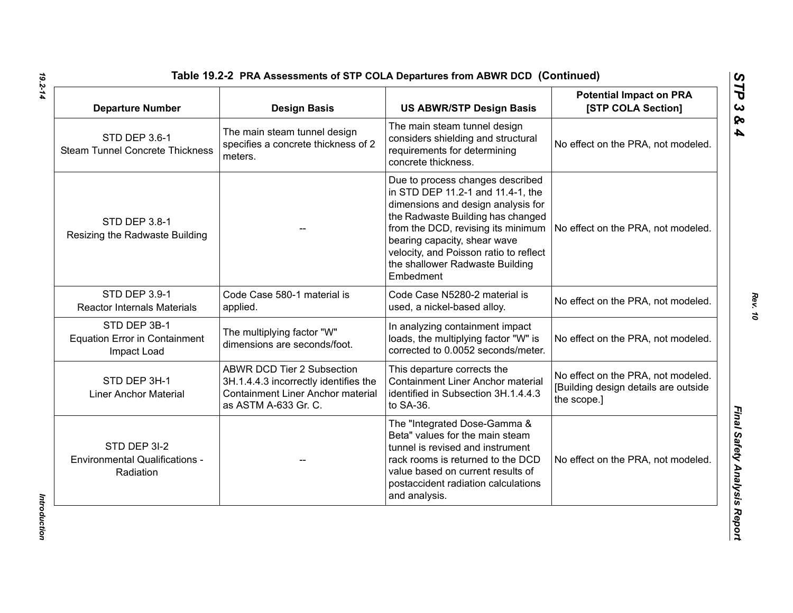| <b>Departure Number</b>                                             | <b>Design Basis</b>                                                                                                                            | <b>US ABWR/STP Design Basis</b>                                                                                                                                                                                                                                                                                  | <b>Potential Impact on PRA</b><br>[STP COLA Section]                                      |
|---------------------------------------------------------------------|------------------------------------------------------------------------------------------------------------------------------------------------|------------------------------------------------------------------------------------------------------------------------------------------------------------------------------------------------------------------------------------------------------------------------------------------------------------------|-------------------------------------------------------------------------------------------|
| <b>STD DEP 3.6-1</b><br><b>Steam Tunnel Concrete Thickness</b>      | The main steam tunnel design<br>specifies a concrete thickness of 2<br>meters.                                                                 | The main steam tunnel design<br>considers shielding and structural<br>requirements for determining<br>concrete thickness.                                                                                                                                                                                        | No effect on the PRA, not modeled.                                                        |
| STD DEP 3.8-1<br>Resizing the Radwaste Building                     |                                                                                                                                                | Due to process changes described<br>in STD DEP 11.2-1 and 11.4-1, the<br>dimensions and design analysis for<br>the Radwaste Building has changed<br>from the DCD, revising its minimum<br>bearing capacity, shear wave<br>velocity, and Poisson ratio to reflect<br>the shallower Radwaste Building<br>Embedment | No effect on the PRA, not modeled.                                                        |
| STD DEP 3.9-1<br><b>Reactor Internals Materials</b>                 | Code Case 580-1 material is<br>applied.                                                                                                        | Code Case N5280-2 material is<br>used, a nickel-based alloy.                                                                                                                                                                                                                                                     | No effect on the PRA, not modeled.                                                        |
| STD DEP 3B-1<br><b>Equation Error in Containment</b><br>Impact Load | The multiplying factor "W"<br>dimensions are seconds/foot.                                                                                     | In analyzing containment impact<br>loads, the multiplying factor "W" is<br>corrected to 0.0052 seconds/meter.                                                                                                                                                                                                    | No effect on the PRA, not modeled.                                                        |
| STD DEP 3H-1<br><b>Liner Anchor Material</b>                        | <b>ABWR DCD Tier 2 Subsection</b><br>3H.1.4.4.3 incorrectly identifies the<br><b>Containment Liner Anchor material</b><br>as ASTM A-633 Gr. C. | This departure corrects the<br><b>Containment Liner Anchor material</b><br>identified in Subsection 3H.1.4.4.3<br>to SA-36.                                                                                                                                                                                      | No effect on the PRA, not modeled.<br>[Building design details are outside<br>the scope.] |
| STD DEP 3I-2<br><b>Environmental Qualifications -</b><br>Radiation  |                                                                                                                                                | The "Integrated Dose-Gamma &<br>Beta" values for the main steam<br>tunnel is revised and instrument<br>rack rooms is returned to the DCD<br>value based on current results of<br>postaccident radiation calculations<br>and analysis.                                                                            | No effect on the PRA, not modeled.                                                        |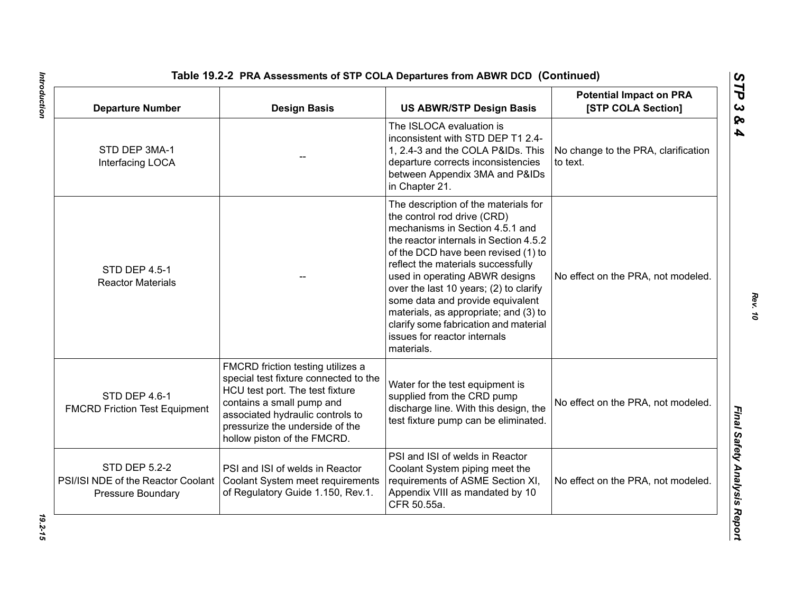| <b>Departure Number</b>                                                         | <b>Design Basis</b>                                                                                                                                                                                                                              | <b>US ABWR/STP Design Basis</b>                                                                                                                                                                                                                                                                                                                                                                                                                                               | <b>Potential Impact on PRA</b><br>[STP COLA Section] |
|---------------------------------------------------------------------------------|--------------------------------------------------------------------------------------------------------------------------------------------------------------------------------------------------------------------------------------------------|-------------------------------------------------------------------------------------------------------------------------------------------------------------------------------------------------------------------------------------------------------------------------------------------------------------------------------------------------------------------------------------------------------------------------------------------------------------------------------|------------------------------------------------------|
| STD DEP 3MA-1<br>Interfacing LOCA                                               |                                                                                                                                                                                                                                                  | The ISLOCA evaluation is<br>inconsistent with STD DEP T1 2.4-<br>1, 2.4-3 and the COLA P&IDs. This<br>departure corrects inconsistencies<br>between Appendix 3MA and P&IDs<br>in Chapter 21.                                                                                                                                                                                                                                                                                  | No change to the PRA, clarification<br>to text.      |
| <b>STD DEP 4.5-1</b><br><b>Reactor Materials</b>                                |                                                                                                                                                                                                                                                  | The description of the materials for<br>the control rod drive (CRD)<br>mechanisms in Section 4.5.1 and<br>the reactor internals in Section 4.5.2<br>of the DCD have been revised (1) to<br>reflect the materials successfully<br>used in operating ABWR designs<br>over the last 10 years; (2) to clarify<br>some data and provide equivalent<br>materials, as appropriate; and (3) to<br>clarify some fabrication and material<br>issues for reactor internals<br>materials. | No effect on the PRA, not modeled.                   |
| STD DEP 4.6-1<br><b>FMCRD Friction Test Equipment</b>                           | FMCRD friction testing utilizes a<br>special test fixture connected to the<br>HCU test port. The test fixture<br>contains a small pump and<br>associated hydraulic controls to<br>pressurize the underside of the<br>hollow piston of the FMCRD. | Water for the test equipment is<br>supplied from the CRD pump<br>discharge line. With this design, the<br>test fixture pump can be eliminated.                                                                                                                                                                                                                                                                                                                                | No effect on the PRA, not modeled.                   |
| <b>STD DEP 5.2-2</b><br>PSI/ISI NDE of the Reactor Coolant<br>Pressure Boundary | <b>PSI and ISI of welds in Reactor</b><br>Coolant System meet requirements<br>of Regulatory Guide 1.150, Rev.1.                                                                                                                                  | PSI and ISI of welds in Reactor<br>Coolant System piping meet the<br>requirements of ASME Section XI,<br>Appendix VIII as mandated by 10<br>CFR 50.55a.                                                                                                                                                                                                                                                                                                                       | No effect on the PRA, not modeled.                   |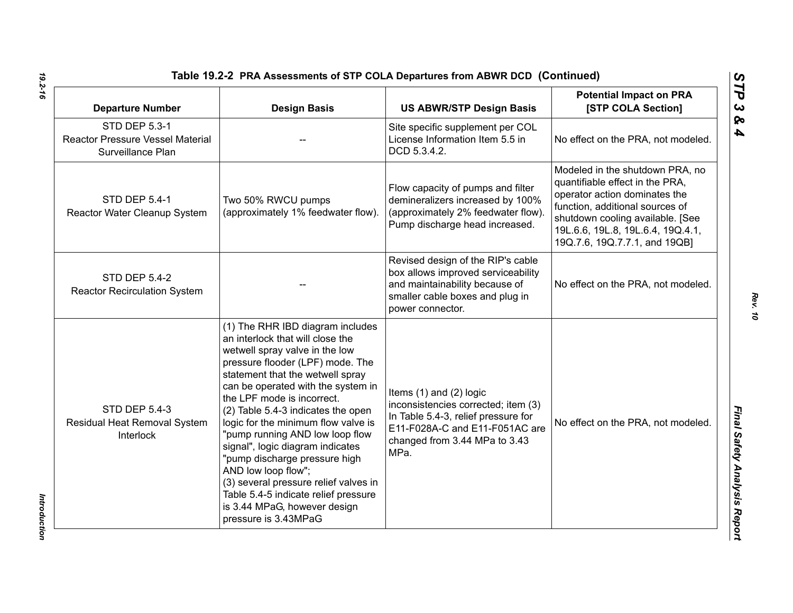| <b>Departure Number</b>                                                              | <b>Design Basis</b>                                                                                                                                                                                                                                                                                                                                                                                                                                                                                                                                                                                     | <b>US ABWR/STP Design Basis</b>                                                                                                                                                      | <b>Potential Impact on PRA</b><br>[STP COLA Section]                                                                                                                                                                                             |
|--------------------------------------------------------------------------------------|---------------------------------------------------------------------------------------------------------------------------------------------------------------------------------------------------------------------------------------------------------------------------------------------------------------------------------------------------------------------------------------------------------------------------------------------------------------------------------------------------------------------------------------------------------------------------------------------------------|--------------------------------------------------------------------------------------------------------------------------------------------------------------------------------------|--------------------------------------------------------------------------------------------------------------------------------------------------------------------------------------------------------------------------------------------------|
| <b>STD DEP 5.3-1</b><br><b>Reactor Pressure Vessel Material</b><br>Surveillance Plan |                                                                                                                                                                                                                                                                                                                                                                                                                                                                                                                                                                                                         | Site specific supplement per COL<br>License Information Item 5.5 in<br>DCD 5.3.4.2.                                                                                                  | No effect on the PRA, not modeled.                                                                                                                                                                                                               |
| <b>STD DEP 5.4-1</b><br>Reactor Water Cleanup System                                 | Two 50% RWCU pumps<br>(approximately 1% feedwater flow).                                                                                                                                                                                                                                                                                                                                                                                                                                                                                                                                                | Flow capacity of pumps and filter<br>demineralizers increased by 100%<br>(approximately 2% feedwater flow).<br>Pump discharge head increased.                                        | Modeled in the shutdown PRA, no<br>quantifiable effect in the PRA,<br>operator action dominates the<br>function, additional sources of<br>shutdown cooling available. [See<br>19L.6.6, 19L.8, 19L.6.4, 19Q.4.1,<br>19Q.7.6, 19Q.7.7.1, and 19QB] |
| <b>STD DEP 5.4-2</b><br><b>Reactor Recirculation System</b>                          |                                                                                                                                                                                                                                                                                                                                                                                                                                                                                                                                                                                                         | Revised design of the RIP's cable<br>box allows improved serviceability<br>and maintainability because of<br>smaller cable boxes and plug in<br>power connector.                     | No effect on the PRA, not modeled.                                                                                                                                                                                                               |
| <b>STD DEP 5.4-3</b><br>Residual Heat Removal System<br>Interlock                    | (1) The RHR IBD diagram includes<br>an interlock that will close the<br>wetwell spray valve in the low<br>pressure flooder (LPF) mode. The<br>statement that the wetwell spray<br>can be operated with the system in<br>the LPF mode is incorrect.<br>(2) Table 5.4-3 indicates the open<br>logic for the minimum flow valve is<br>"pump running AND low loop flow<br>signal", logic diagram indicates<br>"pump discharge pressure high<br>AND low loop flow";<br>(3) several pressure relief valves in<br>Table 5.4-5 indicate relief pressure<br>is 3.44 MPaG, however design<br>pressure is 3.43MPaG | Items $(1)$ and $(2)$ logic<br>inconsistencies corrected; item (3)<br>In Table 5.4-3, relief pressure for<br>E11-F028A-C and E11-F051AC are<br>changed from 3.44 MPa to 3.43<br>MPa. | No effect on the PRA, not modeled.                                                                                                                                                                                                               |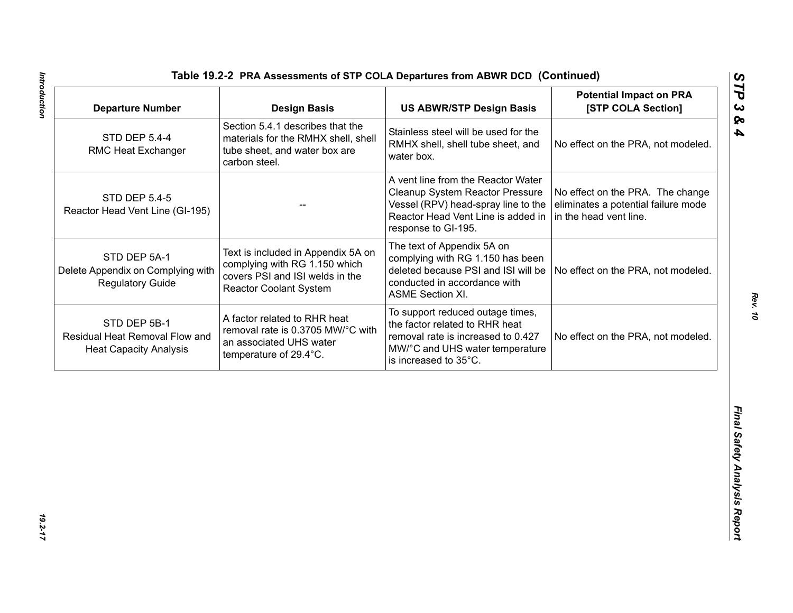| <b>Departure Number</b>                                                         | <b>Design Basis</b>                                                                                                                     | <b>US ABWR/STP Design Basis</b>                                                                                                                                           | <b>Potential Impact on PRA</b><br>[STP COLA Section]                                              |
|---------------------------------------------------------------------------------|-----------------------------------------------------------------------------------------------------------------------------------------|---------------------------------------------------------------------------------------------------------------------------------------------------------------------------|---------------------------------------------------------------------------------------------------|
| <b>STD DEP 5.4-4</b><br>RMC Heat Exchanger                                      | Section 5.4.1 describes that the<br>materials for the RMHX shell, shell<br>tube sheet, and water box are<br>carbon steel.               | Stainless steel will be used for the<br>RMHX shell, shell tube sheet, and<br>water box.                                                                                   | No effect on the PRA, not modeled.                                                                |
| <b>STD DEP 5.4-5</b><br>Reactor Head Vent Line (GI-195)                         |                                                                                                                                         | A vent line from the Reactor Water<br>Cleanup System Reactor Pressure<br>Vessel (RPV) head-spray line to the<br>Reactor Head Vent Line is added in<br>response to GI-195. | No effect on the PRA. The change<br>eliminates a potential failure mode<br>in the head vent line. |
| STD DEP 5A-1<br>Delete Appendix on Complying with<br><b>Regulatory Guide</b>    | Text is included in Appendix 5A on<br>complying with RG 1.150 which<br>covers PSI and ISI welds in the<br><b>Reactor Coolant System</b> | The text of Appendix 5A on<br>complying with RG 1.150 has been<br>deleted because PSI and ISI will be<br>conducted in accordance with<br><b>ASME Section XI.</b>          | No effect on the PRA, not modeled.                                                                |
| STD DEP 5B-1<br>Residual Heat Removal Flow and<br><b>Heat Capacity Analysis</b> | A factor related to RHR heat<br>removal rate is 0.3705 MW/°C with<br>an associated UHS water<br>temperature of 29.4°C.                  | To support reduced outage times,<br>the factor related to RHR heat<br>removal rate is increased to 0.427<br>MW/°C and UHS water temperature<br>is increased to 35°C.      | No effect on the PRA, not modeled.                                                                |
|                                                                                 |                                                                                                                                         |                                                                                                                                                                           |                                                                                                   |
|                                                                                 |                                                                                                                                         |                                                                                                                                                                           |                                                                                                   |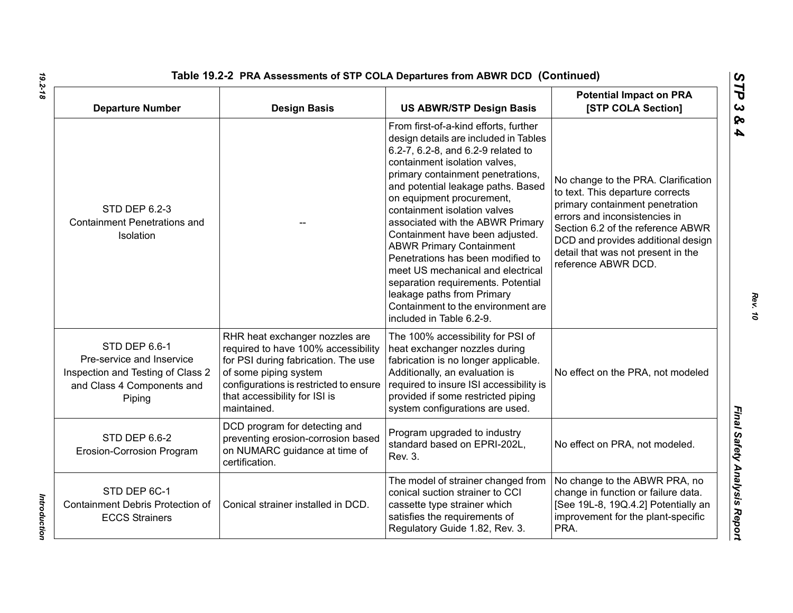| Table 19.2-2 PRA Assessments of STP COLA Departures from ABWR DCD (Continued)                                           |                                                                                                                                                                                                                                 |                                                                                                                                                                                                                                                                                                                                                                                                                                                                                                                                                                                                                         |                                                                                                                                                                                                                                                                                     |
|-------------------------------------------------------------------------------------------------------------------------|---------------------------------------------------------------------------------------------------------------------------------------------------------------------------------------------------------------------------------|-------------------------------------------------------------------------------------------------------------------------------------------------------------------------------------------------------------------------------------------------------------------------------------------------------------------------------------------------------------------------------------------------------------------------------------------------------------------------------------------------------------------------------------------------------------------------------------------------------------------------|-------------------------------------------------------------------------------------------------------------------------------------------------------------------------------------------------------------------------------------------------------------------------------------|
| <b>Departure Number</b>                                                                                                 | <b>Design Basis</b>                                                                                                                                                                                                             | <b>US ABWR/STP Design Basis</b>                                                                                                                                                                                                                                                                                                                                                                                                                                                                                                                                                                                         | <b>Potential Impact on PRA</b><br>[STP COLA Section]                                                                                                                                                                                                                                |
| <b>STD DEP 6.2-3</b><br><b>Containment Penetrations and</b><br>Isolation                                                |                                                                                                                                                                                                                                 | From first-of-a-kind efforts, further<br>design details are included in Tables<br>6.2-7, 6.2-8, and 6.2-9 related to<br>containment isolation valves,<br>primary containment penetrations,<br>and potential leakage paths. Based<br>on equipment procurement,<br>containment isolation valves<br>associated with the ABWR Primary<br>Containment have been adjusted.<br><b>ABWR Primary Containment</b><br>Penetrations has been modified to<br>meet US mechanical and electrical<br>separation requirements. Potential<br>leakage paths from Primary<br>Containment to the environment are<br>included in Table 6.2-9. | No change to the PRA. Clarification<br>to text. This departure corrects<br>primary containment penetration<br>errors and inconsistencies in<br>Section 6.2 of the reference ABWR<br>DCD and provides additional design<br>detail that was not present in the<br>reference ABWR DCD. |
| STD DEP 6.6-1<br>Pre-service and Inservice<br>Inspection and Testing of Class 2<br>and Class 4 Components and<br>Piping | RHR heat exchanger nozzles are<br>required to have 100% accessibility<br>for PSI during fabrication. The use<br>of some piping system<br>configurations is restricted to ensure<br>that accessibility for ISI is<br>maintained. | The 100% accessibility for PSI of<br>heat exchanger nozzles during<br>fabrication is no longer applicable.<br>Additionally, an evaluation is<br>required to insure ISI accessibility is<br>provided if some restricted piping<br>system configurations are used.                                                                                                                                                                                                                                                                                                                                                        | No effect on the PRA, not modeled                                                                                                                                                                                                                                                   |
| STD DEP 6.6-2<br>Erosion-Corrosion Program                                                                              | DCD program for detecting and<br>preventing erosion-corrosion based<br>on NUMARC guidance at time of<br>certification.                                                                                                          | Program upgraded to industry<br>standard based on EPRI-202L,<br>Rev. 3.                                                                                                                                                                                                                                                                                                                                                                                                                                                                                                                                                 | No effect on PRA, not modeled.                                                                                                                                                                                                                                                      |
| STD DEP 6C-1<br>Containment Debris Protection of<br><b>ECCS Strainers</b>                                               | Conical strainer installed in DCD.                                                                                                                                                                                              | The model of strainer changed from<br>conical suction strainer to CCI<br>cassette type strainer which<br>satisfies the requirements of<br>Regulatory Guide 1.82, Rev. 3.                                                                                                                                                                                                                                                                                                                                                                                                                                                | No change to the ABWR PRA, no<br>change in function or failure data.<br>[See 19L-8, 19Q.4.2] Potentially an<br>improvement for the plant-specific<br>PRA.                                                                                                                           |

*19.2-18*

*Introduction* 

Introduction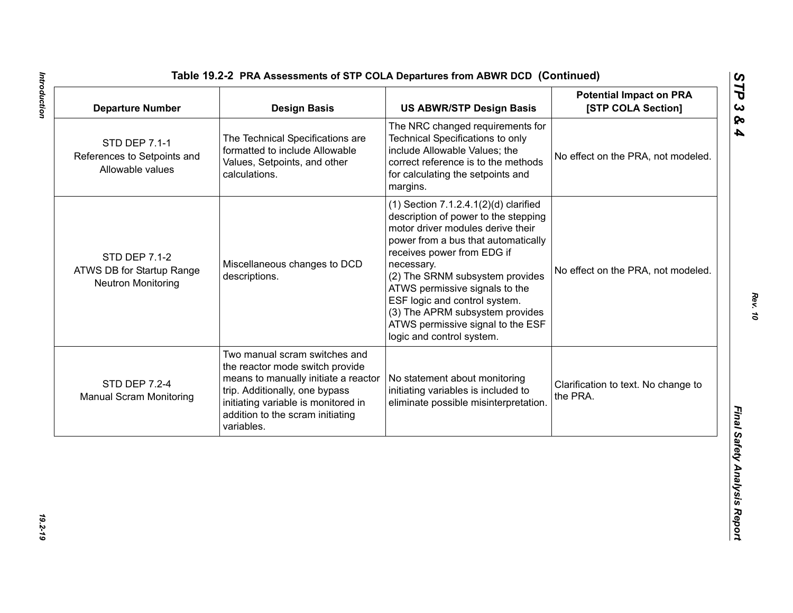| <b>Departure Number</b>                                                        | <b>Design Basis</b>                                                                                                                                                                                                                 | <b>US ABWR/STP Design Basis</b>                                                                                                                                                                                                                                                                                                                                                                                       | <b>Potential Impact on PRA</b><br>[STP COLA Section] |
|--------------------------------------------------------------------------------|-------------------------------------------------------------------------------------------------------------------------------------------------------------------------------------------------------------------------------------|-----------------------------------------------------------------------------------------------------------------------------------------------------------------------------------------------------------------------------------------------------------------------------------------------------------------------------------------------------------------------------------------------------------------------|------------------------------------------------------|
| <b>STD DEP 7.1-1</b><br>References to Setpoints and<br>Allowable values        | The Technical Specifications are<br>formatted to include Allowable<br>Values, Setpoints, and other<br>calculations.                                                                                                                 | The NRC changed requirements for<br><b>Technical Specifications to only</b><br>include Allowable Values; the<br>correct reference is to the methods<br>for calculating the setpoints and<br>margins.                                                                                                                                                                                                                  | No effect on the PRA, not modeled.                   |
| <b>STD DEP 7.1-2</b><br>ATWS DB for Startup Range<br><b>Neutron Monitoring</b> | Miscellaneous changes to DCD<br>descriptions.                                                                                                                                                                                       | $(1)$ Section 7.1.2.4.1 $(2)(d)$ clarified<br>description of power to the stepping<br>motor driver modules derive their<br>power from a bus that automatically<br>receives power from EDG if<br>necessary.<br>(2) The SRNM subsystem provides<br>ATWS permissive signals to the<br>ESF logic and control system.<br>(3) The APRM subsystem provides<br>ATWS permissive signal to the ESF<br>logic and control system. | No effect on the PRA, not modeled.                   |
| <b>STD DEP 7.2-4</b><br><b>Manual Scram Monitoring</b>                         | Two manual scram switches and<br>the reactor mode switch provide<br>means to manually initiate a reactor<br>trip. Additionally, one bypass<br>initiating variable is monitored in<br>addition to the scram initiating<br>variables. | No statement about monitoring<br>initiating variables is included to<br>eliminate possible misinterpretation.                                                                                                                                                                                                                                                                                                         | Clarification to text. No change to<br>the PRA.      |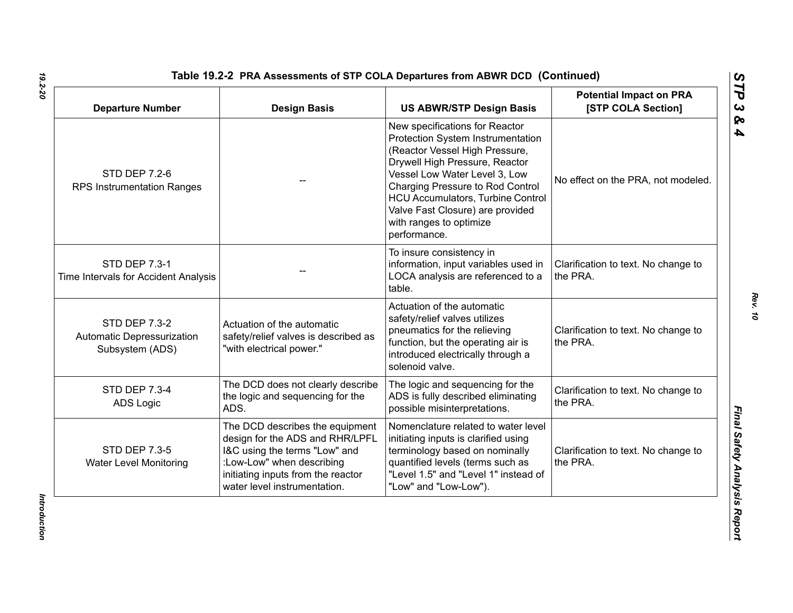| <b>Departure Number</b>                                               | <b>Design Basis</b>                                                                                                                                                                                    | <b>US ABWR/STP Design Basis</b>                                                                                                                                                                                                                                                                                                         | <b>Potential Impact on PRA</b><br>[STP COLA Section] |
|-----------------------------------------------------------------------|--------------------------------------------------------------------------------------------------------------------------------------------------------------------------------------------------------|-----------------------------------------------------------------------------------------------------------------------------------------------------------------------------------------------------------------------------------------------------------------------------------------------------------------------------------------|------------------------------------------------------|
| <b>STD DEP 7.2-6</b><br><b>RPS Instrumentation Ranges</b>             |                                                                                                                                                                                                        | New specifications for Reactor<br>Protection System Instrumentation<br>(Reactor Vessel High Pressure,<br>Drywell High Pressure, Reactor<br>Vessel Low Water Level 3, Low<br>Charging Pressure to Rod Control<br><b>HCU Accumulators, Turbine Control</b><br>Valve Fast Closure) are provided<br>with ranges to optimize<br>performance. | No effect on the PRA, not modeled.                   |
| STD DEP 7.3-1<br>Time Intervals for Accident Analysis                 |                                                                                                                                                                                                        | To insure consistency in<br>information, input variables used in<br>LOCA analysis are referenced to a<br>table.                                                                                                                                                                                                                         | Clarification to text. No change to<br>the PRA.      |
| <b>STD DEP 7.3-2</b><br>Automatic Depressurization<br>Subsystem (ADS) | Actuation of the automatic<br>safety/relief valves is described as<br>"with electrical power."                                                                                                         | Actuation of the automatic<br>safety/relief valves utilizes<br>pneumatics for the relieving<br>function, but the operating air is<br>introduced electrically through a<br>solenoid valve.                                                                                                                                               | Clarification to text. No change to<br>the PRA.      |
| <b>STD DEP 7.3-4</b><br><b>ADS Logic</b>                              | The DCD does not clearly describe<br>the logic and sequencing for the<br>ADS.                                                                                                                          | The logic and sequencing for the<br>ADS is fully described eliminating<br>possible misinterpretations.                                                                                                                                                                                                                                  | Clarification to text. No change to<br>the PRA.      |
| <b>STD DEP 7.3-5</b><br><b>Water Level Monitoring</b>                 | The DCD describes the equipment<br>design for the ADS and RHR/LPFL<br>I&C using the terms "Low" and<br>:Low-Low" when describing<br>initiating inputs from the reactor<br>water level instrumentation. | Nomenclature related to water level<br>initiating inputs is clarified using<br>terminology based on nominally<br>quantified levels (terms such as<br>"Level 1.5" and "Level 1" instead of<br>"Low" and "Low-Low").                                                                                                                      | Clarification to text. No change to<br>the PRA.      |

Introduction *Introduction*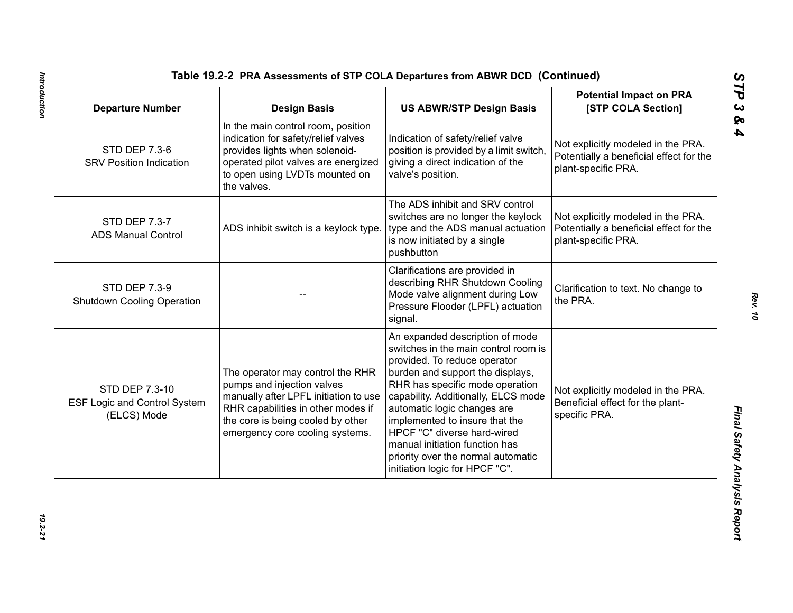| <b>Departure Number</b>                                              | <b>Design Basis</b>                                                                                                                                                                                                   | <b>US ABWR/STP Design Basis</b>                                                                                                                                                                                                                                                                                                                                                                                                 | <b>Potential Impact on PRA</b><br>[STP COLA Section]                                                 |
|----------------------------------------------------------------------|-----------------------------------------------------------------------------------------------------------------------------------------------------------------------------------------------------------------------|---------------------------------------------------------------------------------------------------------------------------------------------------------------------------------------------------------------------------------------------------------------------------------------------------------------------------------------------------------------------------------------------------------------------------------|------------------------------------------------------------------------------------------------------|
| <b>STD DEP 7.3-6</b><br><b>SRV Position Indication</b>               | In the main control room, position<br>indication for safety/relief valves<br>provides lights when solenoid-<br>operated pilot valves are energized<br>to open using LVDTs mounted on<br>the valves.                   | Indication of safety/relief valve<br>position is provided by a limit switch,<br>giving a direct indication of the<br>valve's position.                                                                                                                                                                                                                                                                                          | Not explicitly modeled in the PRA.<br>Potentially a beneficial effect for the<br>plant-specific PRA. |
| STD DEP 7.3-7<br><b>ADS Manual Control</b>                           | ADS inhibit switch is a keylock type.                                                                                                                                                                                 | The ADS inhibit and SRV control<br>switches are no longer the keylock<br>type and the ADS manual actuation<br>is now initiated by a single<br>pushbutton                                                                                                                                                                                                                                                                        | Not explicitly modeled in the PRA.<br>Potentially a beneficial effect for the<br>plant-specific PRA. |
| <b>STD DEP 7.3-9</b><br><b>Shutdown Cooling Operation</b>            |                                                                                                                                                                                                                       | Clarifications are provided in<br>describing RHR Shutdown Cooling<br>Mode valve alignment during Low<br>Pressure Flooder (LPFL) actuation<br>signal.                                                                                                                                                                                                                                                                            | Clarification to text. No change to<br>the PRA.                                                      |
| STD DEP 7.3-10<br><b>ESF Logic and Control System</b><br>(ELCS) Mode | The operator may control the RHR<br>pumps and injection valves<br>manually after LPFL initiation to use<br>RHR capabilities in other modes if<br>the core is being cooled by other<br>emergency core cooling systems. | An expanded description of mode<br>switches in the main control room is<br>provided. To reduce operator<br>burden and support the displays,<br>RHR has specific mode operation<br>capability. Additionally, ELCS mode<br>automatic logic changes are<br>implemented to insure that the<br>HPCF "C" diverse hard-wired<br>manual initiation function has<br>priority over the normal automatic<br>initiation logic for HPCF "C". | Not explicitly modeled in the PRA.<br>Beneficial effect for the plant-<br>specific PRA.              |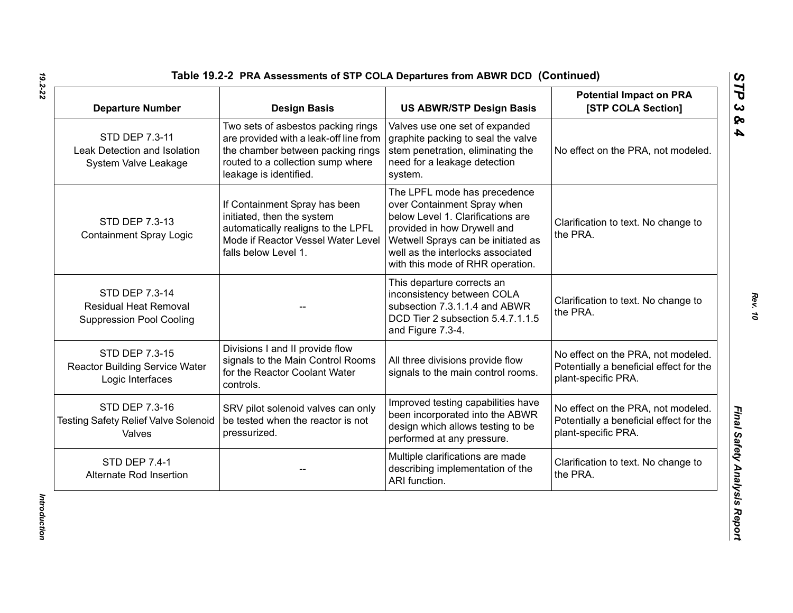| <b>Departure Number</b>                                                           | <b>Design Basis</b>                                                                                                                                                              | <b>US ABWR/STP Design Basis</b>                                                                                                                                                                                                                | <b>Potential Impact on PRA</b><br>[STP COLA Section]                                                 |
|-----------------------------------------------------------------------------------|----------------------------------------------------------------------------------------------------------------------------------------------------------------------------------|------------------------------------------------------------------------------------------------------------------------------------------------------------------------------------------------------------------------------------------------|------------------------------------------------------------------------------------------------------|
| STD DEP 7.3-11<br>Leak Detection and Isolation<br>System Valve Leakage            | Two sets of asbestos packing rings<br>are provided with a leak-off line from<br>the chamber between packing rings<br>routed to a collection sump where<br>leakage is identified. | Valves use one set of expanded<br>graphite packing to seal the valve<br>stem penetration, eliminating the<br>need for a leakage detection<br>system.                                                                                           | No effect on the PRA, not modeled.                                                                   |
| STD DEP 7.3-13<br><b>Containment Spray Logic</b>                                  | If Containment Spray has been<br>initiated, then the system<br>automatically realigns to the LPFL<br>Mode if Reactor Vessel Water Level<br>falls below Level 1.                  | The LPFL mode has precedence<br>over Containment Spray when<br>below Level 1. Clarifications are<br>provided in how Drywell and<br>Wetwell Sprays can be initiated as<br>well as the interlocks associated<br>with this mode of RHR operation. | Clarification to text. No change to<br>the PRA.                                                      |
| STD DEP 7.3-14<br><b>Residual Heat Removal</b><br><b>Suppression Pool Cooling</b> |                                                                                                                                                                                  | This departure corrects an<br>inconsistency between COLA<br>subsection 7.3.1.1.4 and ABWR<br>DCD Tier 2 subsection 5.4.7.1.1.5<br>and Figure 7.3-4.                                                                                            | Clarification to text. No change to<br>the PRA.                                                      |
| STD DEP 7.3-15<br><b>Reactor Building Service Water</b><br>Logic Interfaces       | Divisions I and II provide flow<br>signals to the Main Control Rooms<br>for the Reactor Coolant Water<br>controls.                                                               | All three divisions provide flow<br>signals to the main control rooms.                                                                                                                                                                         | No effect on the PRA, not modeled.<br>Potentially a beneficial effect for the<br>plant-specific PRA. |
| STD DEP 7.3-16<br><b>Testing Safety Relief Valve Solenoid</b><br>Valves           | SRV pilot solenoid valves can only<br>be tested when the reactor is not<br>pressurized.                                                                                          | Improved testing capabilities have<br>been incorporated into the ABWR<br>design which allows testing to be<br>performed at any pressure.                                                                                                       | No effect on the PRA, not modeled.<br>Potentially a beneficial effect for the<br>plant-specific PRA. |
| <b>STD DEP 7.4-1</b><br>Alternate Rod Insertion                                   |                                                                                                                                                                                  | Multiple clarifications are made<br>describing implementation of the<br>ARI function.                                                                                                                                                          | Clarification to text. No change to<br>the PRA.                                                      |

Introduction *Introduction*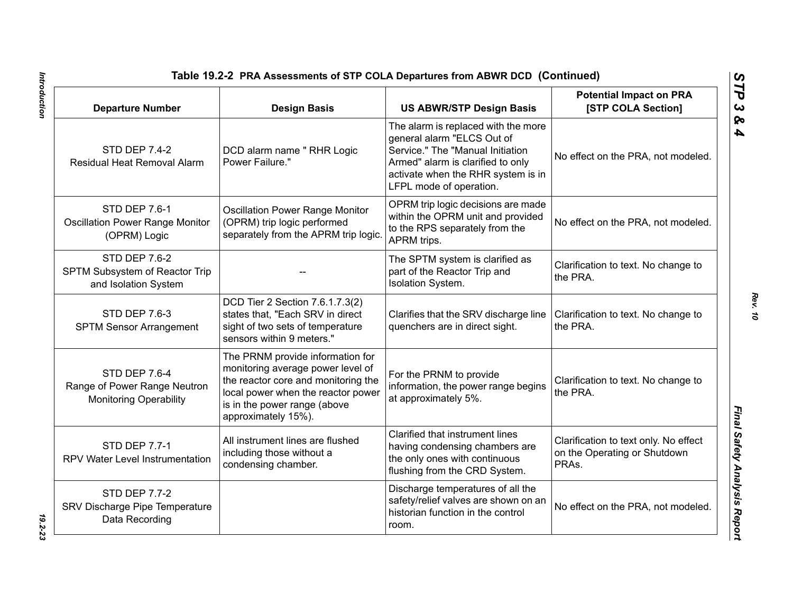| Table 19.2-2 PRA Assessments of STP COLA Departures from ABWR DCD (Continued)  |                                                                                                                                                                                                           |                                                                                                                                                                                                             |                                                                                |  |
|--------------------------------------------------------------------------------|-----------------------------------------------------------------------------------------------------------------------------------------------------------------------------------------------------------|-------------------------------------------------------------------------------------------------------------------------------------------------------------------------------------------------------------|--------------------------------------------------------------------------------|--|
| <b>Departure Number</b>                                                        | <b>Design Basis</b>                                                                                                                                                                                       | <b>US ABWR/STP Design Basis</b>                                                                                                                                                                             | <b>Potential Impact on PRA</b><br>[STP COLA Section]                           |  |
| <b>STD DEP 7.4-2</b><br>Residual Heat Removal Alarm                            | DCD alarm name " RHR Logic<br>Power Failure."                                                                                                                                                             | The alarm is replaced with the more<br>general alarm "ELCS Out of<br>Service." The "Manual Initiation<br>Armed" alarm is clarified to only<br>activate when the RHR system is in<br>LFPL mode of operation. | No effect on the PRA, not modeled.                                             |  |
| <b>STD DEP 7.6-1</b><br><b>Oscillation Power Range Monitor</b><br>(OPRM) Logic | <b>Oscillation Power Range Monitor</b><br>(OPRM) trip logic performed<br>separately from the APRM trip logic.                                                                                             | OPRM trip logic decisions are made<br>within the OPRM unit and provided<br>to the RPS separately from the<br>APRM trips.                                                                                    | No effect on the PRA, not modeled.                                             |  |
| <b>STD DEP 7.6-2</b><br>SPTM Subsystem of Reactor Trip<br>and Isolation System |                                                                                                                                                                                                           | The SPTM system is clarified as<br>part of the Reactor Trip and<br>Isolation System.                                                                                                                        | Clarification to text. No change to<br>the PRA.                                |  |
| <b>STD DEP 7.6-3</b><br><b>SPTM Sensor Arrangement</b>                         | DCD Tier 2 Section 7.6.1.7.3(2)<br>states that, "Each SRV in direct<br>sight of two sets of temperature<br>sensors within 9 meters."                                                                      | Clarifies that the SRV discharge line<br>quenchers are in direct sight.                                                                                                                                     | Clarification to text. No change to<br>the PRA.                                |  |
| STD DEP 7.6-4<br>Range of Power Range Neutron<br><b>Monitoring Operability</b> | The PRNM provide information for<br>monitoring average power level of<br>the reactor core and monitoring the<br>local power when the reactor power<br>is in the power range (above<br>approximately 15%). | For the PRNM to provide<br>information, the power range begins<br>at approximately 5%.                                                                                                                      | Clarification to text. No change to<br>the PRA.                                |  |
| <b>STD DEP 7.7-1</b><br>RPV Water Level Instrumentation                        | All instrument lines are flushed<br>including those without a<br>condensing chamber.                                                                                                                      | Clarified that instrument lines<br>having condensing chambers are<br>the only ones with continuous<br>flushing from the CRD System.                                                                         | Clarification to text only. No effect<br>on the Operating or Shutdown<br>PRAs. |  |
| <b>STD DEP 7.7-2</b><br>SRV Discharge Pipe Temperature<br>Data Recording       |                                                                                                                                                                                                           | Discharge temperatures of all the<br>safety/relief valves are shown on an<br>historian function in the control<br>room.                                                                                     | No effect on the PRA, not modeled.                                             |  |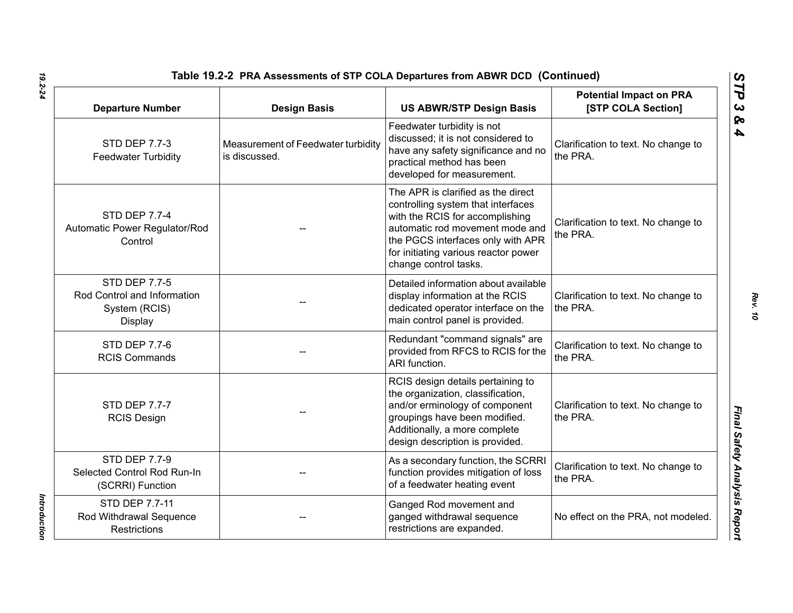| Table 19.2-2 PRA Assessments of STP COLA Departures from ABWR DCD (Continued)   |                                                     |                                                                                                                                                                                                                                                      |                                                      |  |
|---------------------------------------------------------------------------------|-----------------------------------------------------|------------------------------------------------------------------------------------------------------------------------------------------------------------------------------------------------------------------------------------------------------|------------------------------------------------------|--|
| <b>Departure Number</b>                                                         | <b>Design Basis</b>                                 | <b>US ABWR/STP Design Basis</b>                                                                                                                                                                                                                      | <b>Potential Impact on PRA</b><br>[STP COLA Section] |  |
| <b>STD DEP 7.7-3</b><br><b>Feedwater Turbidity</b>                              | Measurement of Feedwater turbidity<br>is discussed. | Feedwater turbidity is not<br>discussed; it is not considered to<br>have any safety significance and no<br>practical method has been<br>developed for measurement.                                                                                   | Clarification to text. No change to<br>the PRA.      |  |
| <b>STD DEP 7.7-4</b><br>Automatic Power Regulator/Rod<br>Control                |                                                     | The APR is clarified as the direct<br>controlling system that interfaces<br>with the RCIS for accomplishing<br>automatic rod movement mode and<br>the PGCS interfaces only with APR<br>for initiating various reactor power<br>change control tasks. | Clarification to text. No change to<br>the PRA.      |  |
| <b>STD DEP 7.7-5</b><br>Rod Control and Information<br>System (RCIS)<br>Display |                                                     | Detailed information about available<br>display information at the RCIS<br>dedicated operator interface on the<br>main control panel is provided.                                                                                                    | Clarification to text. No change to<br>the PRA.      |  |
| <b>STD DEP 7.7-6</b><br><b>RCIS Commands</b>                                    |                                                     | Redundant "command signals" are<br>provided from RFCS to RCIS for the<br>ARI function.                                                                                                                                                               | Clarification to text. No change to<br>the PRA.      |  |
| <b>STD DEP 7.7-7</b><br><b>RCIS Design</b>                                      |                                                     | RCIS design details pertaining to<br>the organization, classification,<br>and/or erminology of component<br>groupings have been modified.<br>Additionally, a more complete<br>design description is provided.                                        | Clarification to text. No change to<br>the PRA.      |  |
| <b>STD DEP 7.7-9</b><br>Selected Control Rod Run-In<br>(SCRRI) Function         |                                                     | As a secondary function, the SCRRI<br>function provides mitigation of loss<br>of a feedwater heating event                                                                                                                                           | Clarification to text. No change to<br>the PRA.      |  |
| STD DEP 7.7-11<br>Rod Withdrawal Sequence<br><b>Restrictions</b>                |                                                     | Ganged Rod movement and<br>ganged withdrawal sequence<br>restrictions are expanded.                                                                                                                                                                  | No effect on the PRA, not modeled.                   |  |

Introduction *Introduction*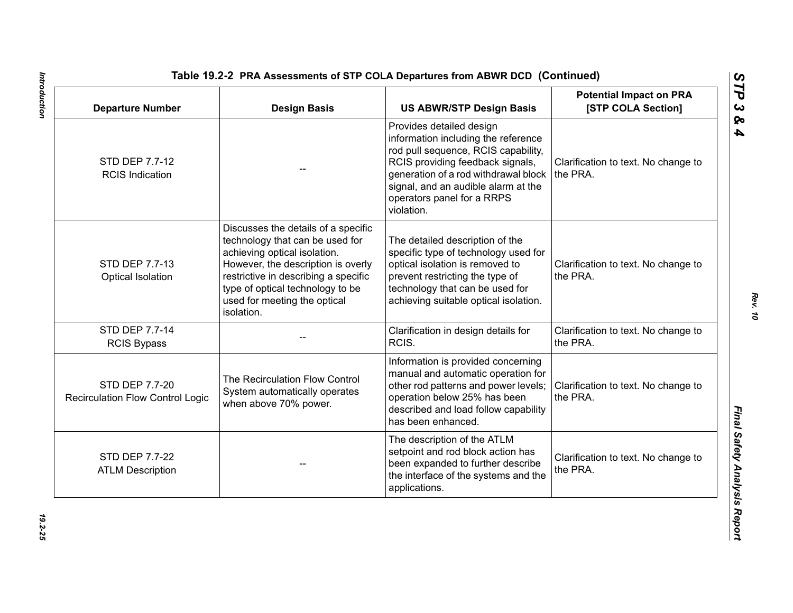| <b>Departure Number</b>                                   | <b>Design Basis</b>                                                                                                                                                                                                                                                    | <b>US ABWR/STP Design Basis</b>                                                                                                                                                                                                                                       | <b>Potential Impact on PRA</b><br>[STP COLA Section] |
|-----------------------------------------------------------|------------------------------------------------------------------------------------------------------------------------------------------------------------------------------------------------------------------------------------------------------------------------|-----------------------------------------------------------------------------------------------------------------------------------------------------------------------------------------------------------------------------------------------------------------------|------------------------------------------------------|
| STD DEP 7.7-12<br><b>RCIS Indication</b>                  |                                                                                                                                                                                                                                                                        | Provides detailed design<br>information including the reference<br>rod pull sequence, RCIS capability,<br>RCIS providing feedback signals,<br>generation of a rod withdrawal block<br>signal, and an audible alarm at the<br>operators panel for a RRPS<br>violation. | Clarification to text. No change to<br>the PRA.      |
| STD DEP 7.7-13<br>Optical Isolation                       | Discusses the details of a specific<br>technology that can be used for<br>achieving optical isolation.<br>However, the description is overly<br>restrictive in describing a specific<br>type of optical technology to be<br>used for meeting the optical<br>isolation. | The detailed description of the<br>specific type of technology used for<br>optical isolation is removed to<br>prevent restricting the type of<br>technology that can be used for<br>achieving suitable optical isolation.                                             | Clarification to text. No change to<br>the PRA.      |
| <b>STD DEP 7.7-14</b><br><b>RCIS Bypass</b>               |                                                                                                                                                                                                                                                                        | Clarification in design details for<br>RCIS.                                                                                                                                                                                                                          | Clarification to text. No change to<br>the PRA.      |
| STD DEP 7.7-20<br><b>Recirculation Flow Control Logic</b> | The Recirculation Flow Control<br>System automatically operates<br>when above 70% power.                                                                                                                                                                               | Information is provided concerning<br>manual and automatic operation for<br>other rod patterns and power levels;<br>operation below 25% has been<br>described and load follow capability<br>has been enhanced.                                                        | Clarification to text. No change to<br>the PRA.      |
| STD DEP 7.7-22<br><b>ATLM Description</b>                 |                                                                                                                                                                                                                                                                        | The description of the ATLM<br>setpoint and rod block action has<br>been expanded to further describe<br>the interface of the systems and the<br>applications.                                                                                                        | Clarification to text. No change to<br>the PRA.      |

Introduction *Introduction 19.2-25*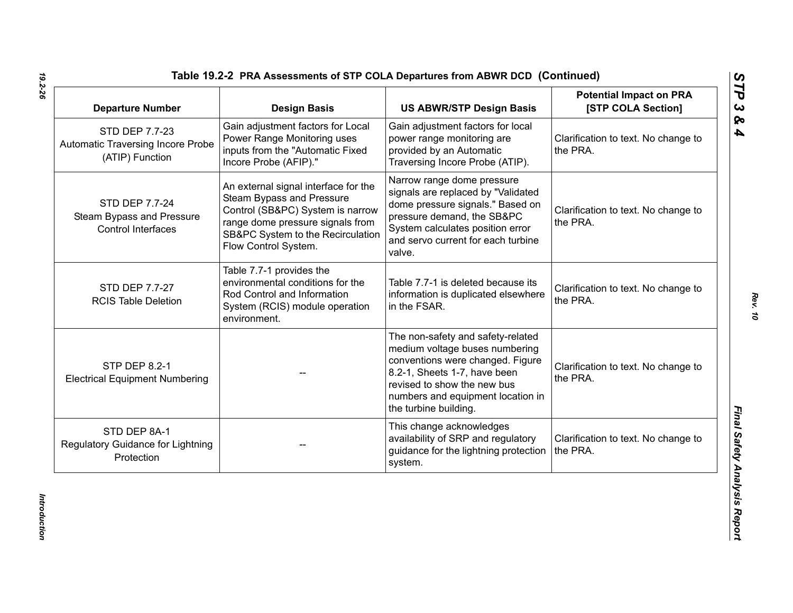| <b>Departure Number</b>                                                | <b>Design Basis</b>                                                                                                                                                                                    | <b>US ABWR/STP Design Basis</b>                                                                                                                                                                                                      | <b>Potential Impact on PRA</b><br>[STP COLA Section] |
|------------------------------------------------------------------------|--------------------------------------------------------------------------------------------------------------------------------------------------------------------------------------------------------|--------------------------------------------------------------------------------------------------------------------------------------------------------------------------------------------------------------------------------------|------------------------------------------------------|
| STD DEP 7.7-23<br>Automatic Traversing Incore Probe<br>(ATIP) Function | Gain adjustment factors for Local<br>Power Range Monitoring uses<br>inputs from the "Automatic Fixed<br>Incore Probe (AFIP)."                                                                          | Gain adjustment factors for local<br>power range monitoring are<br>provided by an Automatic<br>Traversing Incore Probe (ATIP).                                                                                                       | Clarification to text. No change to<br>the PRA.      |
| STD DEP 7.7-24<br>Steam Bypass and Pressure<br>Control Interfaces      | An external signal interface for the<br>Steam Bypass and Pressure<br>Control (SB&PC) System is narrow<br>range dome pressure signals from<br>SB&PC System to the Recirculation<br>Flow Control System. | Narrow range dome pressure<br>signals are replaced by "Validated<br>dome pressure signals." Based on<br>pressure demand, the SB&PC<br>System calculates position error<br>and servo current for each turbine<br>valve.               | Clarification to text. No change to<br>the PRA.      |
| STD DEP 7.7-27<br><b>RCIS Table Deletion</b>                           | Table 7.7-1 provides the<br>environmental conditions for the<br>Rod Control and Information<br>System (RCIS) module operation<br>environment.                                                          | Table 7.7-1 is deleted because its<br>information is duplicated elsewhere<br>in the FSAR.                                                                                                                                            | Clarification to text. No change to<br>the PRA.      |
| <b>STP DEP 8.2-1</b><br><b>Electrical Equipment Numbering</b>          |                                                                                                                                                                                                        | The non-safety and safety-related<br>medium voltage buses numbering<br>conventions were changed. Figure<br>8.2-1, Sheets 1-7, have been<br>revised to show the new bus<br>numbers and equipment location in<br>the turbine building. | Clarification to text. No change to<br>the PRA.      |
| STD DEP 8A-1<br>Regulatory Guidance for Lightning<br>Protection        |                                                                                                                                                                                                        | This change acknowledges<br>availability of SRP and regulatory<br>guidance for the lightning protection<br>system.                                                                                                                   | Clarification to text. No change to<br>the PRA.      |

*Introduction* 

Introduction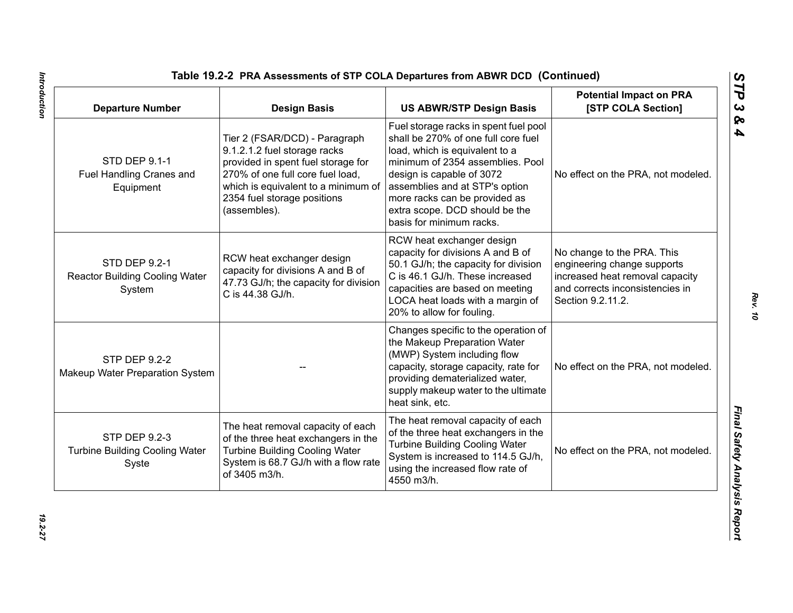| <b>Departure Number</b>                                                 | <b>Design Basis</b>                                                                                                                                                                                                           | <b>US ABWR/STP Design Basis</b>                                                                                                                                                                                                                                                                                  | <b>Potential Impact on PRA</b><br>[STP COLA Section]                                                                                                 |
|-------------------------------------------------------------------------|-------------------------------------------------------------------------------------------------------------------------------------------------------------------------------------------------------------------------------|------------------------------------------------------------------------------------------------------------------------------------------------------------------------------------------------------------------------------------------------------------------------------------------------------------------|------------------------------------------------------------------------------------------------------------------------------------------------------|
| STD DEP 9.1-1<br>Fuel Handling Cranes and<br>Equipment                  | Tier 2 (FSAR/DCD) - Paragraph<br>9.1.2.1.2 fuel storage racks<br>provided in spent fuel storage for<br>270% of one full core fuel load,<br>which is equivalent to a minimum of<br>2354 fuel storage positions<br>(assembles). | Fuel storage racks in spent fuel pool<br>shall be 270% of one full core fuel<br>load, which is equivalent to a<br>minimum of 2354 assemblies. Pool<br>design is capable of 3072<br>assemblies and at STP's option<br>more racks can be provided as<br>extra scope. DCD should be the<br>basis for minimum racks. | No effect on the PRA, not modeled.                                                                                                                   |
| <b>STD DEP 9.2-1</b><br><b>Reactor Building Cooling Water</b><br>System | RCW heat exchanger design<br>capacity for divisions A and B of<br>47.73 GJ/h; the capacity for division<br>C is 44.38 GJ/h.                                                                                                   | RCW heat exchanger design<br>capacity for divisions A and B of<br>50.1 GJ/h; the capacity for division<br>C is 46.1 GJ/h. These increased<br>capacities are based on meeting<br>LOCA heat loads with a margin of<br>20% to allow for fouling.                                                                    | No change to the PRA. This<br>engineering change supports<br>increased heat removal capacity<br>and corrects inconsistencies in<br>Section 9.2.11.2. |
| <b>STP DEP 9.2-2</b><br>Makeup Water Preparation System                 |                                                                                                                                                                                                                               | Changes specific to the operation of<br>the Makeup Preparation Water<br>(MWP) System including flow<br>capacity, storage capacity, rate for<br>providing dematerialized water,<br>supply makeup water to the ultimate<br>heat sink, etc.                                                                         | No effect on the PRA, not modeled.                                                                                                                   |
| <b>STP DEP 9.2-3</b><br><b>Turbine Building Cooling Water</b><br>Syste  | The heat removal capacity of each<br>of the three heat exchangers in the<br><b>Turbine Building Cooling Water</b><br>System is 68.7 GJ/h with a flow rate<br>of 3405 m3/h.                                                    | The heat removal capacity of each<br>of the three heat exchangers in the<br><b>Turbine Building Cooling Water</b><br>System is increased to 114.5 GJ/h,<br>using the increased flow rate of<br>4550 m3/h.                                                                                                        | No effect on the PRA, not modeled.                                                                                                                   |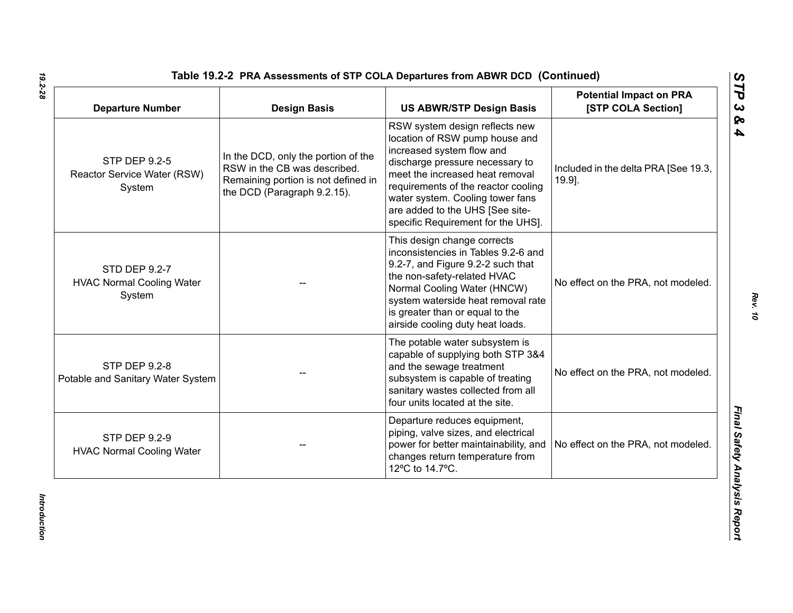| <b>Departure Number</b>                                     | <b>Design Basis</b>                                                                                                                       | <b>US ABWR/STP Design Basis</b>                                                                                                                                                                                                                                                                                         | <b>Potential Impact on PRA</b><br>[STP COLA Section] |
|-------------------------------------------------------------|-------------------------------------------------------------------------------------------------------------------------------------------|-------------------------------------------------------------------------------------------------------------------------------------------------------------------------------------------------------------------------------------------------------------------------------------------------------------------------|------------------------------------------------------|
| STP DEP 9.2-5<br>Reactor Service Water (RSW)<br>System      | In the DCD, only the portion of the<br>RSW in the CB was described.<br>Remaining portion is not defined in<br>the DCD (Paragraph 9.2.15). | RSW system design reflects new<br>location of RSW pump house and<br>increased system flow and<br>discharge pressure necessary to<br>meet the increased heat removal<br>requirements of the reactor cooling<br>water system. Cooling tower fans<br>are added to the UHS [See site-<br>specific Requirement for the UHS]. | Included in the delta PRA [See 19.3,<br>$19.9$ ].    |
| STD DEP 9.2-7<br><b>HVAC Normal Cooling Water</b><br>System |                                                                                                                                           | This design change corrects<br>inconsistencies in Tables 9.2-6 and<br>9.2-7, and Figure 9.2-2 such that<br>the non-safety-related HVAC<br>Normal Cooling Water (HNCW)<br>system waterside heat removal rate<br>is greater than or equal to the<br>airside cooling duty heat loads.                                      | No effect on the PRA, not modeled.                   |
| <b>STP DEP 9.2-8</b><br>Potable and Sanitary Water System   |                                                                                                                                           | The potable water subsystem is<br>capable of supplying both STP 3&4<br>and the sewage treatment<br>subsystem is capable of treating<br>sanitary wastes collected from all<br>four units located at the site.                                                                                                            | No effect on the PRA, not modeled.                   |
| <b>STP DEP 9.2-9</b><br><b>HVAC Normal Cooling Water</b>    |                                                                                                                                           | Departure reduces equipment,<br>piping, valve sizes, and electrical<br>power for better maintainability, and<br>changes return temperature from<br>12°C to 14.7°C.                                                                                                                                                      | No effect on the PRA, not modeled.                   |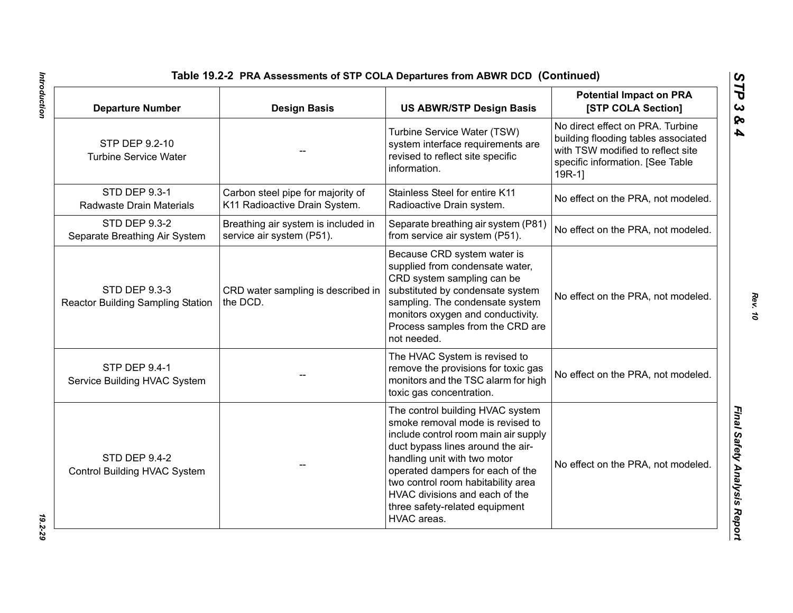| <b>Departure Number</b>                                          | <b>Design Basis</b>                                                | <b>US ABWR/STP Design Basis</b>                                                                                                                                                                                                                                                                                                                | <b>Potential Impact on PRA</b><br>[STP COLA Section]                                                                                                        |
|------------------------------------------------------------------|--------------------------------------------------------------------|------------------------------------------------------------------------------------------------------------------------------------------------------------------------------------------------------------------------------------------------------------------------------------------------------------------------------------------------|-------------------------------------------------------------------------------------------------------------------------------------------------------------|
| STP DEP 9.2-10<br><b>Turbine Service Water</b>                   |                                                                    | Turbine Service Water (TSW)<br>system interface requirements are<br>revised to reflect site specific<br>information.                                                                                                                                                                                                                           | No direct effect on PRA. Turbine<br>building flooding tables associated<br>with TSW modified to reflect site<br>specific information. [See Table<br>$19R-1$ |
| STD DEP 9.3-1<br>Radwaste Drain Materials                        | Carbon steel pipe for majority of<br>K11 Radioactive Drain System. | Stainless Steel for entire K11<br>Radioactive Drain system.                                                                                                                                                                                                                                                                                    | No effect on the PRA, not modeled.                                                                                                                          |
| <b>STD DEP 9.3-2</b><br>Separate Breathing Air System            | Breathing air system is included in<br>service air system (P51).   | Separate breathing air system (P81)<br>from service air system (P51).                                                                                                                                                                                                                                                                          | No effect on the PRA, not modeled.                                                                                                                          |
| <b>STD DEP 9.3-3</b><br><b>Reactor Building Sampling Station</b> | CRD water sampling is described in<br>the DCD.                     | Because CRD system water is<br>supplied from condensate water,<br>CRD system sampling can be<br>substituted by condensate system<br>sampling. The condensate system<br>monitors oxygen and conductivity.<br>Process samples from the CRD are<br>not needed.                                                                                    | No effect on the PRA, not modeled.                                                                                                                          |
| <b>STP DEP 9.4-1</b><br>Service Building HVAC System             |                                                                    | The HVAC System is revised to<br>remove the provisions for toxic gas<br>monitors and the TSC alarm for high<br>toxic gas concentration.                                                                                                                                                                                                        | No effect on the PRA, not modeled.                                                                                                                          |
| <b>STD DEP 9.4-2</b><br>Control Building HVAC System             |                                                                    | The control building HVAC system<br>smoke removal mode is revised to<br>include control room main air supply<br>duct bypass lines around the air-<br>handling unit with two motor<br>operated dampers for each of the<br>two control room habitability area<br>HVAC divisions and each of the<br>three safety-related equipment<br>HVAC areas. | No effect on the PRA, not modeled.                                                                                                                          |

Introduction *Introduction 19.2-29*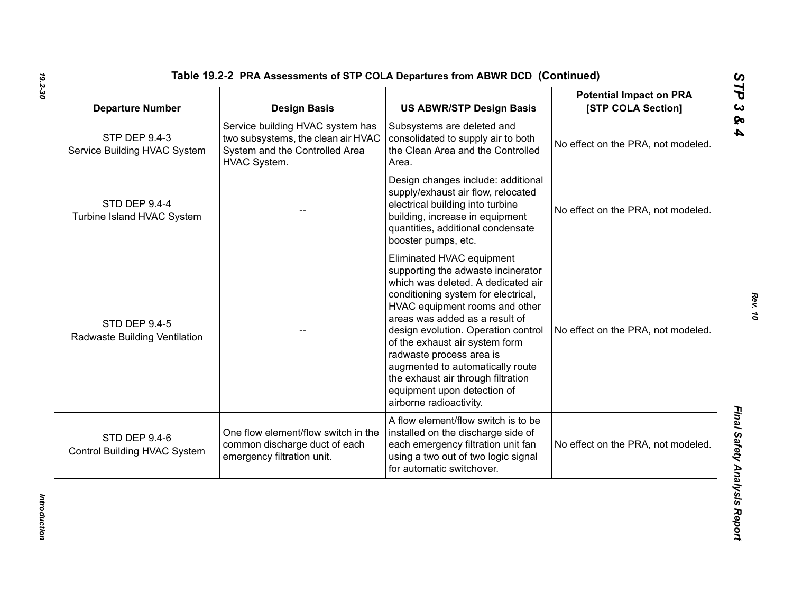| <b>Departure Number</b>                               | <b>Design Basis</b>                                                                                                      | <b>US ABWR/STP Design Basis</b>                                                                                                                                                                                                                                                                                                                                                                                                                           | <b>Potential Impact on PRA</b><br>[STP COLA Section] |
|-------------------------------------------------------|--------------------------------------------------------------------------------------------------------------------------|-----------------------------------------------------------------------------------------------------------------------------------------------------------------------------------------------------------------------------------------------------------------------------------------------------------------------------------------------------------------------------------------------------------------------------------------------------------|------------------------------------------------------|
| <b>STP DEP 9.4-3</b><br>Service Building HVAC System  | Service building HVAC system has<br>two subsystems, the clean air HVAC<br>System and the Controlled Area<br>HVAC System. | Subsystems are deleted and<br>consolidated to supply air to both<br>the Clean Area and the Controlled<br>Area.                                                                                                                                                                                                                                                                                                                                            | No effect on the PRA, not modeled.                   |
| <b>STD DEP 9.4-4</b><br>Turbine Island HVAC System    |                                                                                                                          | Design changes include: additional<br>supply/exhaust air flow, relocated<br>electrical building into turbine<br>building, increase in equipment<br>quantities, additional condensate<br>booster pumps, etc.                                                                                                                                                                                                                                               | No effect on the PRA, not modeled.                   |
| <b>STD DEP 9.4-5</b><br>Radwaste Building Ventilation |                                                                                                                          | Eliminated HVAC equipment<br>supporting the adwaste incinerator<br>which was deleted. A dedicated air<br>conditioning system for electrical,<br>HVAC equipment rooms and other<br>areas was added as a result of<br>design evolution. Operation control<br>of the exhaust air system form<br>radwaste process area is<br>augmented to automatically route<br>the exhaust air through filtration<br>equipment upon detection of<br>airborne radioactivity. | No effect on the PRA, not modeled.                   |
| STD DEP 9.4-6<br>Control Building HVAC System         | One flow element/flow switch in the<br>common discharge duct of each<br>emergency filtration unit.                       | A flow element/flow switch is to be<br>installed on the discharge side of<br>each emergency filtration unit fan<br>using a two out of two logic signal<br>for automatic switchover.                                                                                                                                                                                                                                                                       | No effect on the PRA, not modeled.                   |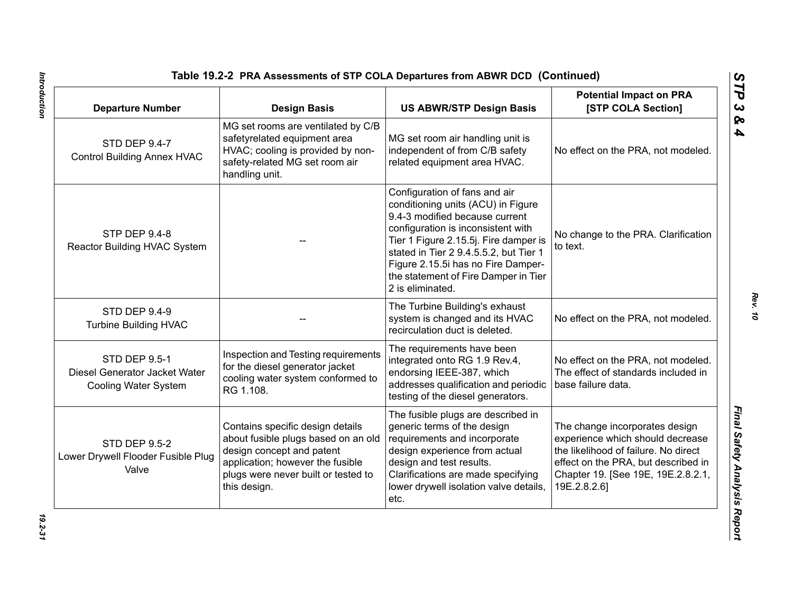| <b>Departure Number</b>                                                              | <b>Design Basis</b>                                                                                                                                                                             | <b>US ABWR/STP Design Basis</b>                                                                                                                                                                                                                                                                                                  | <b>Potential Impact on PRA</b><br>[STP COLA Section]                                                                                                                                                    |
|--------------------------------------------------------------------------------------|-------------------------------------------------------------------------------------------------------------------------------------------------------------------------------------------------|----------------------------------------------------------------------------------------------------------------------------------------------------------------------------------------------------------------------------------------------------------------------------------------------------------------------------------|---------------------------------------------------------------------------------------------------------------------------------------------------------------------------------------------------------|
| <b>STD DEP 9.4-7</b><br><b>Control Building Annex HVAC</b>                           | MG set rooms are ventilated by C/B<br>safetyrelated equipment area<br>HVAC; cooling is provided by non-<br>safety-related MG set room air<br>handling unit.                                     | MG set room air handling unit is<br>independent of from C/B safety<br>related equipment area HVAC.                                                                                                                                                                                                                               | No effect on the PRA, not modeled.                                                                                                                                                                      |
| <b>STP DEP 9.4-8</b><br>Reactor Building HVAC System                                 |                                                                                                                                                                                                 | Configuration of fans and air<br>conditioning units (ACU) in Figure<br>9.4-3 modified because current<br>configuration is inconsistent with<br>Tier 1 Figure 2.15.5j. Fire damper is<br>stated in Tier 2 9.4.5.5.2, but Tier 1<br>Figure 2.15.5i has no Fire Damper-<br>the statement of Fire Damper in Tier<br>2 is eliminated. | No change to the PRA. Clarification<br>to text.                                                                                                                                                         |
| <b>STD DEP 9.4-9</b><br><b>Turbine Building HVAC</b>                                 |                                                                                                                                                                                                 | The Turbine Building's exhaust<br>system is changed and its HVAC<br>recirculation duct is deleted.                                                                                                                                                                                                                               | No effect on the PRA, not modeled.                                                                                                                                                                      |
| <b>STD DEP 9.5-1</b><br>Diesel Generator Jacket Water<br><b>Cooling Water System</b> | Inspection and Testing requirements<br>for the diesel generator jacket<br>cooling water system conformed to<br>RG 1.108.                                                                        | The requirements have been<br>integrated onto RG 1.9 Rev.4,<br>endorsing IEEE-387, which<br>addresses qualification and periodic<br>testing of the diesel generators.                                                                                                                                                            | No effect on the PRA, not modeled.<br>The effect of standards included in<br>base failure data.                                                                                                         |
| <b>STD DEP 9.5-2</b><br>Lower Drywell Flooder Fusible Plug<br>Valve                  | Contains specific design details<br>about fusible plugs based on an old<br>design concept and patent<br>application; however the fusible<br>plugs were never built or tested to<br>this design. | The fusible plugs are described in<br>generic terms of the design<br>requirements and incorporate<br>design experience from actual<br>design and test results.<br>Clarifications are made specifying<br>lower drywell isolation valve details,<br>etc.                                                                           | The change incorporates design<br>experience which should decrease<br>the likelihood of failure. No direct<br>effect on the PRA, but described in<br>Chapter 19. [See 19E, 19E.2.8.2.1,<br>19E.2.8.2.6] |

Introduction *Introduction 19.2-31*

*STP 3 & 4*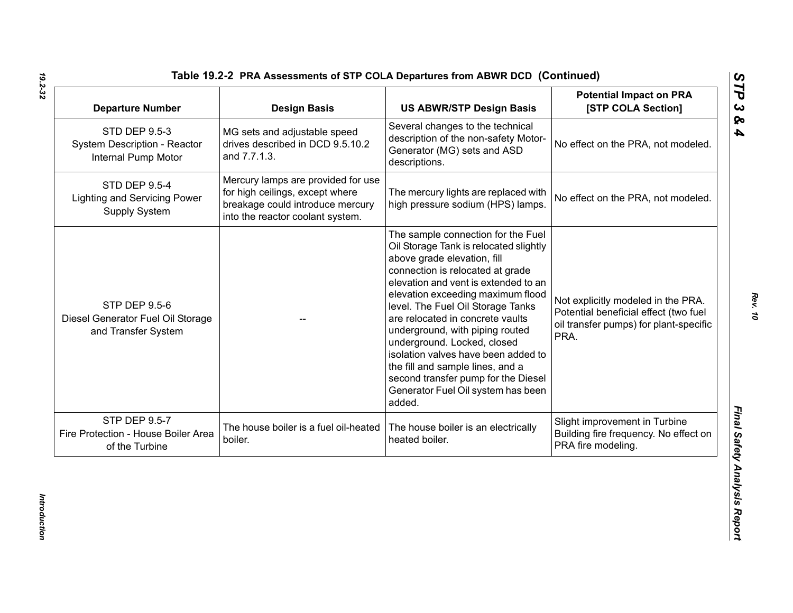| <b>Departure Number</b>                                                          | <b>Design Basis</b>                                                                                                                           | <b>US ABWR/STP Design Basis</b>                                                                                                                                                                                                                                                                                                                                                                                                                                                                                                           | <b>Potential Impact on PRA</b><br>[STP COLA Section]                                                                          |
|----------------------------------------------------------------------------------|-----------------------------------------------------------------------------------------------------------------------------------------------|-------------------------------------------------------------------------------------------------------------------------------------------------------------------------------------------------------------------------------------------------------------------------------------------------------------------------------------------------------------------------------------------------------------------------------------------------------------------------------------------------------------------------------------------|-------------------------------------------------------------------------------------------------------------------------------|
| <b>STD DEP 9.5-3</b><br>System Description - Reactor<br>Internal Pump Motor      | MG sets and adjustable speed<br>drives described in DCD 9.5.10.2<br>and 7.7.1.3.                                                              | Several changes to the technical<br>description of the non-safety Motor-<br>Generator (MG) sets and ASD<br>descriptions.                                                                                                                                                                                                                                                                                                                                                                                                                  | No effect on the PRA, not modeled.                                                                                            |
| <b>STD DEP 9.5-4</b><br><b>Lighting and Servicing Power</b><br>Supply System     | Mercury lamps are provided for use<br>for high ceilings, except where<br>breakage could introduce mercury<br>into the reactor coolant system. | The mercury lights are replaced with<br>high pressure sodium (HPS) lamps.                                                                                                                                                                                                                                                                                                                                                                                                                                                                 | No effect on the PRA, not modeled.                                                                                            |
| <b>STP DEP 9.5-6</b><br>Diesel Generator Fuel Oil Storage<br>and Transfer System |                                                                                                                                               | The sample connection for the Fuel<br>Oil Storage Tank is relocated slightly<br>above grade elevation, fill<br>connection is relocated at grade<br>elevation and vent is extended to an<br>elevation exceeding maximum flood<br>level. The Fuel Oil Storage Tanks<br>are relocated in concrete vaults<br>underground, with piping routed<br>underground. Locked, closed<br>isolation valves have been added to<br>the fill and sample lines, and a<br>second transfer pump for the Diesel<br>Generator Fuel Oil system has been<br>added. | Not explicitly modeled in the PRA.<br>Potential beneficial effect (two fuel<br>oil transfer pumps) for plant-specific<br>PRA. |
| <b>STP DEP 9.5-7</b><br>Fire Protection - House Boiler Area<br>of the Turbine    | The house boiler is a fuel oil-heated<br>boiler.                                                                                              | The house boiler is an electrically<br>heated boiler.                                                                                                                                                                                                                                                                                                                                                                                                                                                                                     | Slight improvement in Turbine<br>Building fire frequency. No effect on<br>PRA fire modeling.                                  |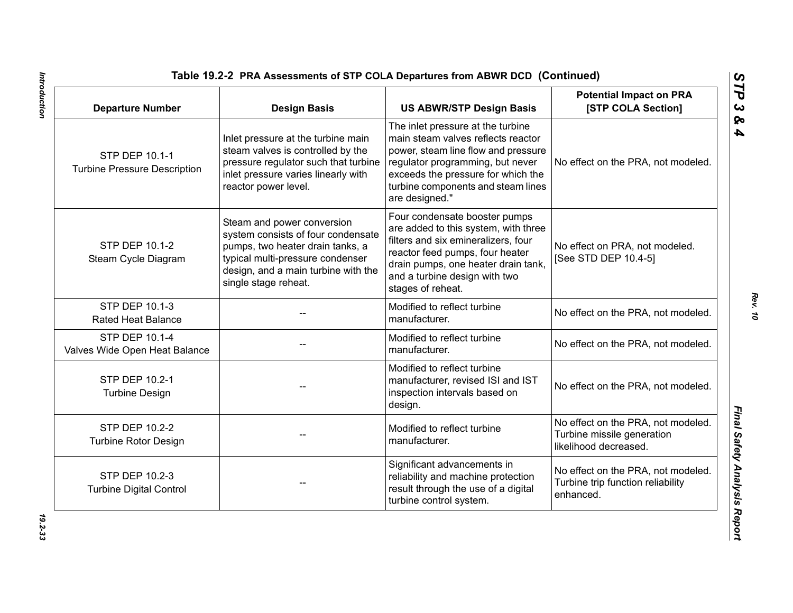| <b>Departure Number</b>                                      | <b>Design Basis</b>                                                                                                                                                                                     | <b>US ABWR/STP Design Basis</b>                                                                                                                                                                                                                  | <b>Potential Impact on PRA</b><br>[STP COLA Section]                                      |
|--------------------------------------------------------------|---------------------------------------------------------------------------------------------------------------------------------------------------------------------------------------------------------|--------------------------------------------------------------------------------------------------------------------------------------------------------------------------------------------------------------------------------------------------|-------------------------------------------------------------------------------------------|
| <b>STP DEP 10.1-1</b><br><b>Turbine Pressure Description</b> | Inlet pressure at the turbine main<br>steam valves is controlled by the<br>pressure regulator such that turbine<br>inlet pressure varies linearly with<br>reactor power level.                          | The inlet pressure at the turbine<br>main steam valves reflects reactor<br>power, steam line flow and pressure<br>regulator programming, but never<br>exceeds the pressure for which the<br>turbine components and steam lines<br>are designed." | No effect on the PRA, not modeled.                                                        |
| <b>STP DEP 10.1-2</b><br>Steam Cycle Diagram                 | Steam and power conversion<br>system consists of four condensate<br>pumps, two heater drain tanks, a<br>typical multi-pressure condenser<br>design, and a main turbine with the<br>single stage reheat. | Four condensate booster pumps<br>are added to this system, with three<br>filters and six emineralizers, four<br>reactor feed pumps, four heater<br>drain pumps, one heater drain tank,<br>and a turbine design with two<br>stages of reheat.     | No effect on PRA, not modeled.<br>[See STD DEP 10.4-5]                                    |
| <b>STP DEP 10.1-3</b><br><b>Rated Heat Balance</b>           |                                                                                                                                                                                                         | Modified to reflect turbine<br>manufacturer.                                                                                                                                                                                                     | No effect on the PRA, not modeled.                                                        |
| <b>STP DEP 10.1-4</b><br>Valves Wide Open Heat Balance       |                                                                                                                                                                                                         | Modified to reflect turbine<br>manufacturer.                                                                                                                                                                                                     | No effect on the PRA, not modeled.                                                        |
| STP DEP 10.2-1<br><b>Turbine Design</b>                      |                                                                                                                                                                                                         | Modified to reflect turbine<br>manufacturer, revised ISI and IST<br>inspection intervals based on<br>design.                                                                                                                                     | No effect on the PRA, not modeled.                                                        |
| <b>STP DEP 10.2-2</b><br><b>Turbine Rotor Design</b>         |                                                                                                                                                                                                         | Modified to reflect turbine<br>manufacturer.                                                                                                                                                                                                     | No effect on the PRA, not modeled.<br>Turbine missile generation<br>likelihood decreased. |
| <b>STP DEP 10.2-3</b><br><b>Turbine Digital Control</b>      |                                                                                                                                                                                                         | Significant advancements in<br>reliability and machine protection<br>result through the use of a digital<br>turbine control system.                                                                                                              | No effect on the PRA, not modeled.<br>Turbine trip function reliability<br>enhanced.      |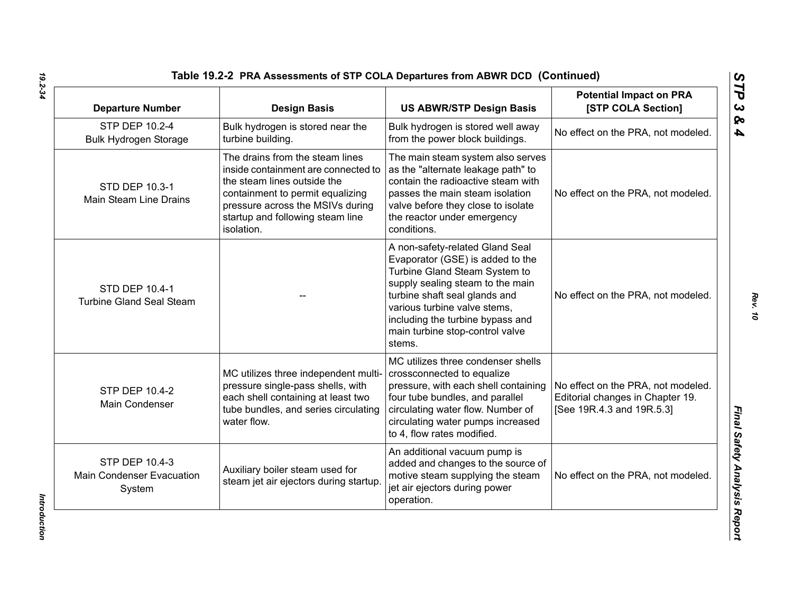| <b>Departure Number</b>                                      | <b>Design Basis</b>                                                                                                                                                                                                             | <b>US ABWR/STP Design Basis</b>                                                                                                                                                                                                                                                            | <b>Potential Impact on PRA</b><br>[STP COLA Section]                                                |
|--------------------------------------------------------------|---------------------------------------------------------------------------------------------------------------------------------------------------------------------------------------------------------------------------------|--------------------------------------------------------------------------------------------------------------------------------------------------------------------------------------------------------------------------------------------------------------------------------------------|-----------------------------------------------------------------------------------------------------|
| STP DEP 10.2-4<br><b>Bulk Hydrogen Storage</b>               | Bulk hydrogen is stored near the<br>turbine building.                                                                                                                                                                           | Bulk hydrogen is stored well away<br>from the power block buildings.                                                                                                                                                                                                                       | No effect on the PRA, not modeled.                                                                  |
| STD DEP 10.3-1<br>Main Steam Line Drains                     | The drains from the steam lines<br>inside containment are connected to<br>the steam lines outside the<br>containment to permit equalizing<br>pressure across the MSIVs during<br>startup and following steam line<br>isolation. | The main steam system also serves<br>as the "alternate leakage path" to<br>contain the radioactive steam with<br>passes the main steam isolation<br>valve before they close to isolate<br>the reactor under emergency<br>conditions.                                                       | No effect on the PRA, not modeled.                                                                  |
| <b>STD DEP 10.4-1</b><br><b>Turbine Gland Seal Steam</b>     |                                                                                                                                                                                                                                 | A non-safety-related Gland Seal<br>Evaporator (GSE) is added to the<br>Turbine Gland Steam System to<br>supply sealing steam to the main<br>turbine shaft seal glands and<br>various turbine valve stems,<br>including the turbine bypass and<br>main turbine stop-control valve<br>stems. | No effect on the PRA, not modeled.                                                                  |
| <b>STP DEP 10.4-2</b><br>Main Condenser                      | MC utilizes three independent multi-<br>pressure single-pass shells, with<br>each shell containing at least two<br>tube bundles, and series circulating<br>water flow.                                                          | MC utilizes three condenser shells<br>crossconnected to equalize<br>pressure, with each shell containing<br>four tube bundles, and parallel<br>circulating water flow. Number of<br>circulating water pumps increased<br>to 4, flow rates modified.                                        | No effect on the PRA, not modeled.<br>Editorial changes in Chapter 19.<br>[See 19R.4.3 and 19R.5.3] |
| STP DEP 10.4-3<br><b>Main Condenser Evacuation</b><br>System | Auxiliary boiler steam used for<br>steam jet air ejectors during startup                                                                                                                                                        | An additional vacuum pump is<br>added and changes to the source of<br>motive steam supplying the steam<br>jet air ejectors during power<br>operation.                                                                                                                                      | No effect on the PRA, not modeled.                                                                  |

Introduction *Introduction*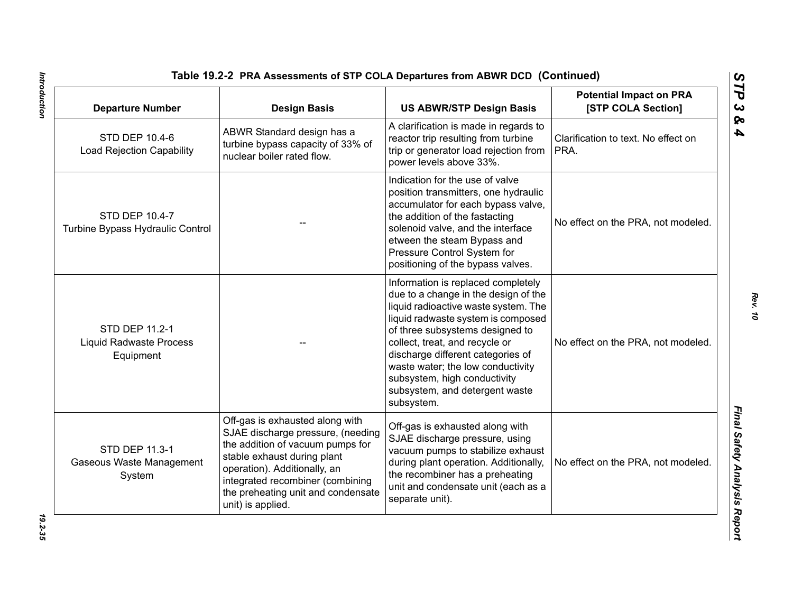| <b>Departure Number</b>                                       | <b>Design Basis</b>                                                                                                                                                                                                                                                    | <b>US ABWR/STP Design Basis</b>                                                                                                                                                                                                                                                                                                                                                         | <b>Potential Impact on PRA</b><br>[STP COLA Section] |
|---------------------------------------------------------------|------------------------------------------------------------------------------------------------------------------------------------------------------------------------------------------------------------------------------------------------------------------------|-----------------------------------------------------------------------------------------------------------------------------------------------------------------------------------------------------------------------------------------------------------------------------------------------------------------------------------------------------------------------------------------|------------------------------------------------------|
| STD DEP 10.4-6<br><b>Load Rejection Capability</b>            | ABWR Standard design has a<br>turbine bypass capacity of 33% of<br>nuclear boiler rated flow.                                                                                                                                                                          | A clarification is made in regards to<br>reactor trip resulting from turbine<br>trip or generator load rejection from<br>power levels above 33%.                                                                                                                                                                                                                                        | Clarification to text. No effect on<br>PRA.          |
| STD DEP 10.4-7<br>Turbine Bypass Hydraulic Control            |                                                                                                                                                                                                                                                                        | Indication for the use of valve<br>position transmitters, one hydraulic<br>accumulator for each bypass valve,<br>the addition of the fastacting<br>solenoid valve, and the interface<br>etween the steam Bypass and<br>Pressure Control System for<br>positioning of the bypass valves.                                                                                                 | No effect on the PRA, not modeled.                   |
| STD DEP 11.2-1<br><b>Liquid Radwaste Process</b><br>Equipment |                                                                                                                                                                                                                                                                        | Information is replaced completely<br>due to a change in the design of the<br>liquid radioactive waste system. The<br>liquid radwaste system is composed<br>of three subsystems designed to<br>collect, treat, and recycle or<br>discharge different categories of<br>waste water; the low conductivity<br>subsystem, high conductivity<br>subsystem, and detergent waste<br>subsystem. | No effect on the PRA, not modeled.                   |
| STD DEP 11.3-1<br>Gaseous Waste Management<br>System          | Off-gas is exhausted along with<br>SJAE discharge pressure, (needing<br>the addition of vacuum pumps for<br>stable exhaust during plant<br>operation). Additionally, an<br>integrated recombiner (combining<br>the preheating unit and condensate<br>unit) is applied. | Off-gas is exhausted along with<br>SJAE discharge pressure, using<br>vacuum pumps to stabilize exhaust<br>during plant operation. Additionally,<br>the recombiner has a preheating<br>unit and condensate unit (each as a<br>separate unit).                                                                                                                                            | No effect on the PRA, not modeled.                   |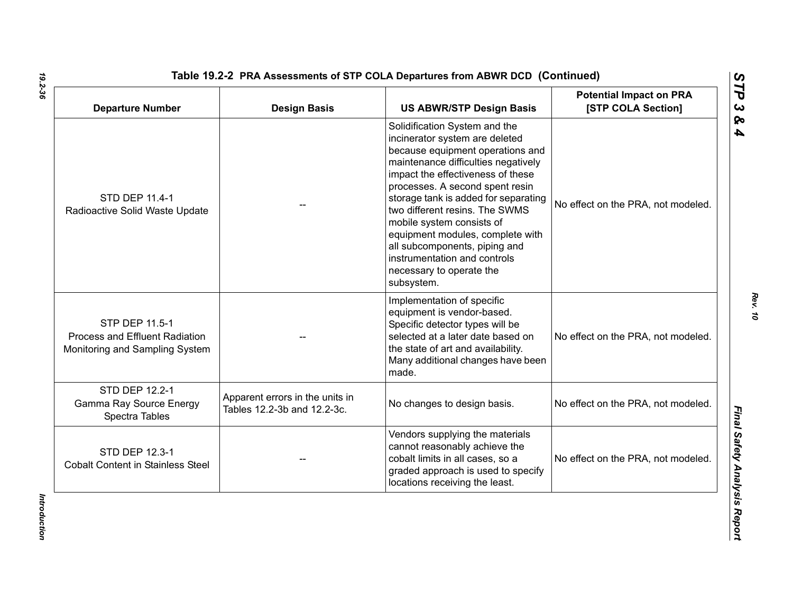| <b>Departure Number</b>                                                            | <b>Design Basis</b>                                            | <b>US ABWR/STP Design Basis</b>                                                                                                                                                                                                                                                                                                                                                                                                                                          | <b>Potential Impact on PRA</b><br>[STP COLA Section] |
|------------------------------------------------------------------------------------|----------------------------------------------------------------|--------------------------------------------------------------------------------------------------------------------------------------------------------------------------------------------------------------------------------------------------------------------------------------------------------------------------------------------------------------------------------------------------------------------------------------------------------------------------|------------------------------------------------------|
| STD DEP 11.4-1<br>Radioactive Solid Waste Update                                   |                                                                | Solidification System and the<br>incinerator system are deleted<br>because equipment operations and<br>maintenance difficulties negatively<br>impact the effectiveness of these<br>processes. A second spent resin<br>storage tank is added for separating<br>two different resins. The SWMS<br>mobile system consists of<br>equipment modules, complete with<br>all subcomponents, piping and<br>instrumentation and controls<br>necessary to operate the<br>subsystem. | No effect on the PRA, not modeled.                   |
| STP DEP 11.5-1<br>Process and Effluent Radiation<br>Monitoring and Sampling System |                                                                | Implementation of specific<br>equipment is vendor-based.<br>Specific detector types will be<br>selected at a later date based on<br>the state of art and availability.<br>Many additional changes have been<br>made.                                                                                                                                                                                                                                                     | No effect on the PRA, not modeled.                   |
| STD DEP 12.2-1<br>Gamma Ray Source Energy<br>Spectra Tables                        | Apparent errors in the units in<br>Tables 12.2-3b and 12.2-3c. | No changes to design basis.                                                                                                                                                                                                                                                                                                                                                                                                                                              | No effect on the PRA, not modeled.                   |
| <b>STD DEP 12.3-1</b><br><b>Cobalt Content in Stainless Steel</b>                  |                                                                | Vendors supplying the materials<br>cannot reasonably achieve the<br>cobalt limits in all cases, so a<br>graded approach is used to specify<br>locations receiving the least.                                                                                                                                                                                                                                                                                             | No effect on the PRA, not modeled.                   |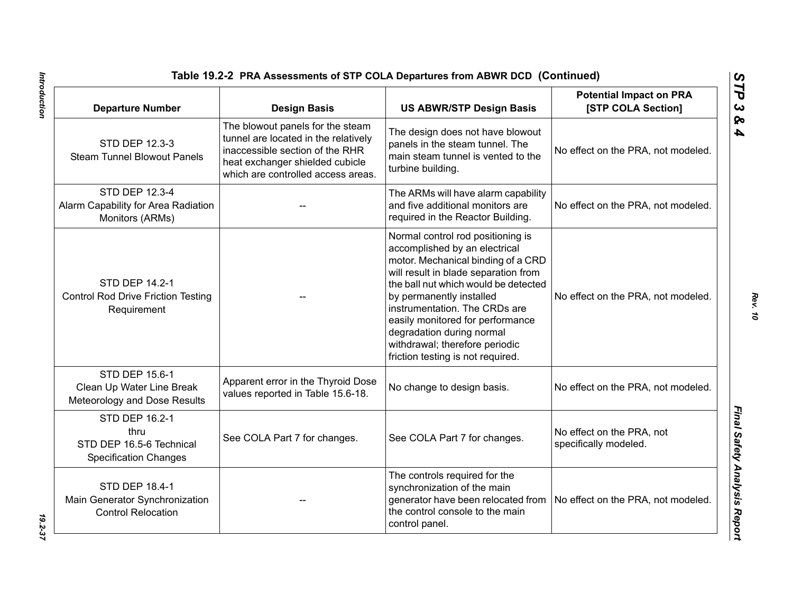| Table 19.2-2 PRA Assessments of STP COLA Departures from ABWR DCD (Continued)        |                                                                                                                                                                                      |                                                                                                                                                                                                                                                                                                                                                                                               |                                                      |  |
|--------------------------------------------------------------------------------------|--------------------------------------------------------------------------------------------------------------------------------------------------------------------------------------|-----------------------------------------------------------------------------------------------------------------------------------------------------------------------------------------------------------------------------------------------------------------------------------------------------------------------------------------------------------------------------------------------|------------------------------------------------------|--|
| <b>Departure Number</b>                                                              | <b>Design Basis</b>                                                                                                                                                                  | <b>US ABWR/STP Design Basis</b>                                                                                                                                                                                                                                                                                                                                                               | <b>Potential Impact on PRA</b><br>[STP COLA Section] |  |
| STD DEP 12.3-3<br><b>Steam Tunnel Blowout Panels</b>                                 | The blowout panels for the steam<br>tunnel are located in the relatively<br>inaccessible section of the RHR<br>heat exchanger shielded cubicle<br>which are controlled access areas. | The design does not have blowout<br>panels in the steam tunnel. The<br>main steam tunnel is vented to the<br>turbine building.                                                                                                                                                                                                                                                                | No effect on the PRA, not modeled.                   |  |
| STD DEP 12.3-4<br>Alarm Capability for Area Radiation<br>Monitors (ARMs)             |                                                                                                                                                                                      | The ARMs will have alarm capability<br>and five additional monitors are<br>required in the Reactor Building.                                                                                                                                                                                                                                                                                  | No effect on the PRA, not modeled.                   |  |
| STD DEP 14.2-1<br><b>Control Rod Drive Friction Testing</b><br>Requirement           |                                                                                                                                                                                      | Normal control rod positioning is<br>accomplished by an electrical<br>motor. Mechanical binding of a CRD<br>will result in blade separation from<br>the ball nut which would be detected<br>by permanently installed<br>instrumentation. The CRDs are<br>easily monitored for performance<br>degradation during normal<br>withdrawal; therefore periodic<br>friction testing is not required. | No effect on the PRA, not modeled.                   |  |
| STD DEP 15.6-1<br>Clean Up Water Line Break<br>Meteorology and Dose Results          | Apparent error in the Thyroid Dose<br>values reported in Table 15.6-18.                                                                                                              | No change to design basis.                                                                                                                                                                                                                                                                                                                                                                    | No effect on the PRA, not modeled.                   |  |
| STD DEP 16.2-1<br>thru<br>STD DEP 16.5-6 Technical<br><b>Specification Changes</b>   | See COLA Part 7 for changes.                                                                                                                                                         | See COLA Part 7 for changes.                                                                                                                                                                                                                                                                                                                                                                  | No effect on the PRA, not<br>specifically modeled.   |  |
| <b>STD DEP 18.4-1</b><br>Main Generator Synchronization<br><b>Control Relocation</b> |                                                                                                                                                                                      | The controls required for the<br>synchronization of the main<br>generator have been relocated from<br>the control console to the main<br>control panel.                                                                                                                                                                                                                                       | No effect on the PRA, not modeled.                   |  |

Introduction

*STP 3 & 4*

*Introduction 19.2-37* 19.2-37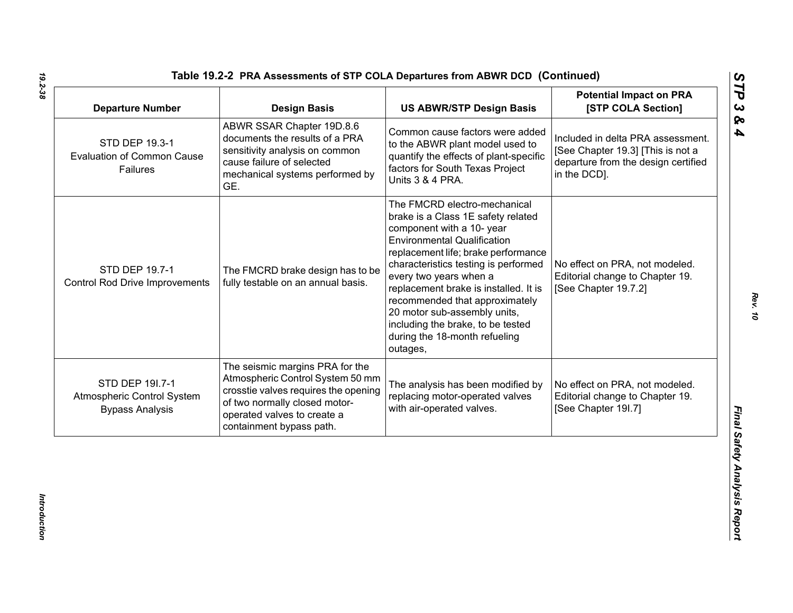| <b>Departure Number</b>                                                 | <b>Design Basis</b>                                                                                                                                                                                     | <b>US ABWR/STP Design Basis</b>                                                                                                                                                                                                                                                                                                                                                                                                             | <b>Potential Impact on PRA</b><br>[STP COLA Section]                                                                          |
|-------------------------------------------------------------------------|---------------------------------------------------------------------------------------------------------------------------------------------------------------------------------------------------------|---------------------------------------------------------------------------------------------------------------------------------------------------------------------------------------------------------------------------------------------------------------------------------------------------------------------------------------------------------------------------------------------------------------------------------------------|-------------------------------------------------------------------------------------------------------------------------------|
| STD DEP 19.3-1<br><b>Evaluation of Common Cause</b><br>Failures         | ABWR SSAR Chapter 19D.8.6<br>documents the results of a PRA<br>sensitivity analysis on common<br>cause failure of selected<br>mechanical systems performed by<br>GE.                                    | Common cause factors were added<br>to the ABWR plant model used to<br>quantify the effects of plant-specific<br>factors for South Texas Project<br>Units 3 & 4 PRA.                                                                                                                                                                                                                                                                         | Included in delta PRA assessment.<br>[See Chapter 19.3] [This is not a<br>departure from the design certified<br>in the DCD]. |
| STD DEP 19.7-1<br><b>Control Rod Drive Improvements</b>                 | The FMCRD brake design has to be<br>fully testable on an annual basis.                                                                                                                                  | The FMCRD electro-mechanical<br>brake is a Class 1E safety related<br>component with a 10- year<br><b>Environmental Qualification</b><br>replacement life; brake performance<br>characteristics testing is performed<br>every two years when a<br>replacement brake is installed. It is<br>recommended that approximately<br>20 motor sub-assembly units,<br>including the brake, to be tested<br>during the 18-month refueling<br>outages, | No effect on PRA, not modeled.<br>Editorial change to Chapter 19.<br>[See Chapter 19.7.2]                                     |
| STD DEP 191.7-1<br>Atmospheric Control System<br><b>Bypass Analysis</b> | The seismic margins PRA for the<br>Atmospheric Control System 50 mm<br>crosstie valves requires the opening<br>of two normally closed motor-<br>operated valves to create a<br>containment bypass path. | The analysis has been modified by<br>replacing motor-operated valves<br>with air-operated valves.                                                                                                                                                                                                                                                                                                                                           | No effect on PRA, not modeled.<br>Editorial change to Chapter 19.<br>[See Chapter 19I.7]                                      |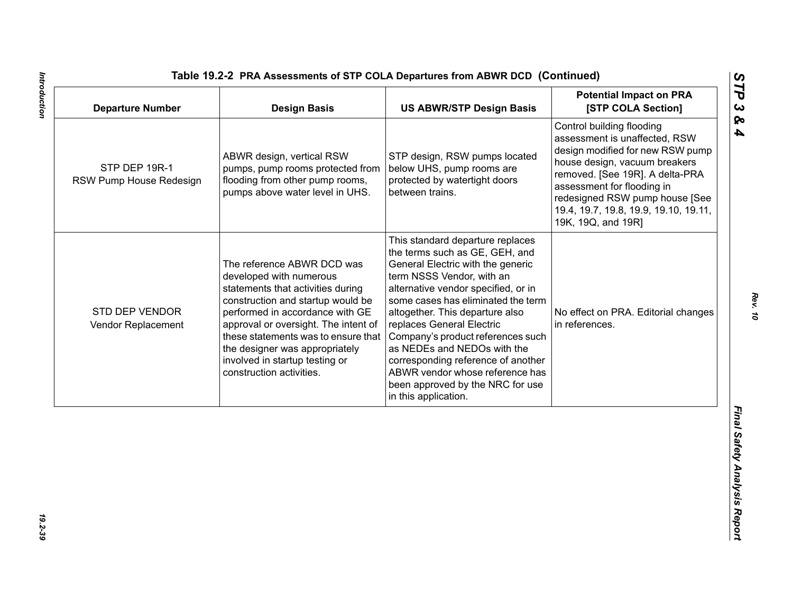| <b>Departure Number</b>                  | <b>Design Basis</b>                                                                                                                                                                                                                                                                                                                               | <b>US ABWR/STP Design Basis</b>                                                                                                                                                                                                                                                                                                                                                                                                                                                            | <b>Potential Impact on PRA</b><br>[STP COLA Section]                                                                                                                                                                                                                                              |
|------------------------------------------|---------------------------------------------------------------------------------------------------------------------------------------------------------------------------------------------------------------------------------------------------------------------------------------------------------------------------------------------------|--------------------------------------------------------------------------------------------------------------------------------------------------------------------------------------------------------------------------------------------------------------------------------------------------------------------------------------------------------------------------------------------------------------------------------------------------------------------------------------------|---------------------------------------------------------------------------------------------------------------------------------------------------------------------------------------------------------------------------------------------------------------------------------------------------|
| STP DEP 19R-1<br>RSW Pump House Redesign | ABWR design, vertical RSW<br>pumps, pump rooms protected from<br>flooding from other pump rooms,<br>pumps above water level in UHS.                                                                                                                                                                                                               | STP design, RSW pumps located<br>below UHS, pump rooms are<br>protected by watertight doors<br>between trains.                                                                                                                                                                                                                                                                                                                                                                             | Control building flooding<br>assessment is unaffected, RSW<br>design modified for new RSW pump<br>house design, vacuum breakers<br>removed. [See 19R]. A delta-PRA<br>assessment for flooding in<br>redesigned RSW pump house [See<br>19.4, 19.7, 19.8, 19.9, 19.10, 19.11,<br>19K, 19Q, and 19R] |
| STD DEP VENDOR<br>Vendor Replacement     | The reference ABWR DCD was<br>developed with numerous<br>statements that activities during<br>construction and startup would be<br>performed in accordance with GE<br>approval or oversight. The intent of<br>these statements was to ensure that<br>the designer was appropriately<br>involved in startup testing or<br>construction activities. | This standard departure replaces<br>the terms such as GE, GEH, and<br>General Electric with the generic<br>term NSSS Vendor, with an<br>alternative vendor specified, or in<br>some cases has eliminated the term<br>altogether. This departure also<br>replaces General Electric<br>Company's product references such<br>as NEDEs and NEDOs with the<br>corresponding reference of another<br>ABWR vendor whose reference has<br>been approved by the NRC for use<br>in this application. | No effect on PRA. Editorial changes<br>in references.                                                                                                                                                                                                                                             |
|                                          |                                                                                                                                                                                                                                                                                                                                                   |                                                                                                                                                                                                                                                                                                                                                                                                                                                                                            |                                                                                                                                                                                                                                                                                                   |